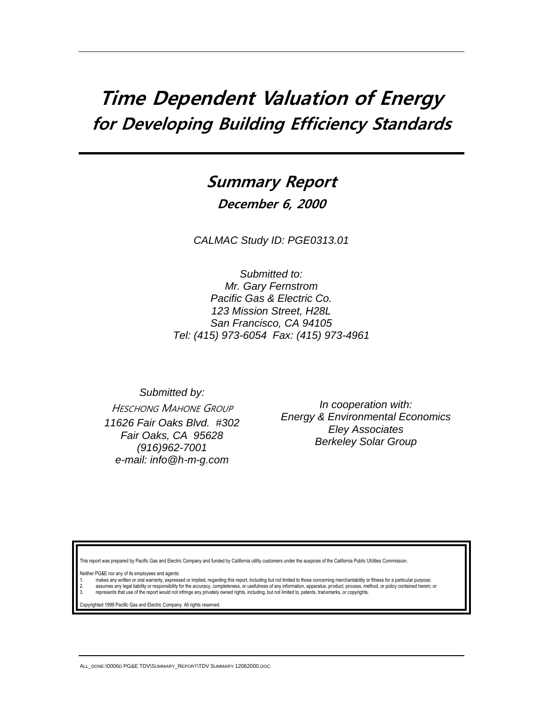# **Time Dependent Valuation of Energy for Developing Building Efficiency Standards**

# **Summary Report**

**December 6, 2000**

*CALMAC Study ID: PGE0313.01*

*Submitted to: Mr. Gary Fernstrom Pacific Gas & Electric Co. 123 Mission Street, H28L San Francisco, CA 94105 Tel: (415) 973-6054 Fax: (415) 973-4961*

*Submitted by:* HESCHONG MAHONE GROUP *11626 Fair Oaks Blvd. #302 Fair Oaks, CA 95628 (916)962-7001 e-mail: info@h-m-g.com*

*In cooperation with: Energy & Environmental Economics Eley Associates Berkeley Solar Group*

ort was prepared by Pacific Gas and Electric Company and funded by California utility customers under the auspices of the California Public Utilities Commission

Neither PG&E nor any of its employees and agents:

makes any written or oral warranty, expressed or implied, regarding this report, including but not limited to those concerning merchantability or fitness for a particular purpose; 2. assumes any legal liability or responsibility for the accuracy, completeness, or usefulness of any information, apparatus, product, process, method, or policy contained herein; or<br>3. represents that use of the report wo

hted 1999 Pacific Gas and Electric Company. All rights reserved.

ALL\_DONE:\0006D PG&E TDV\SUMMARY\_REPORT\TDV SUMMARY 12062000.DOC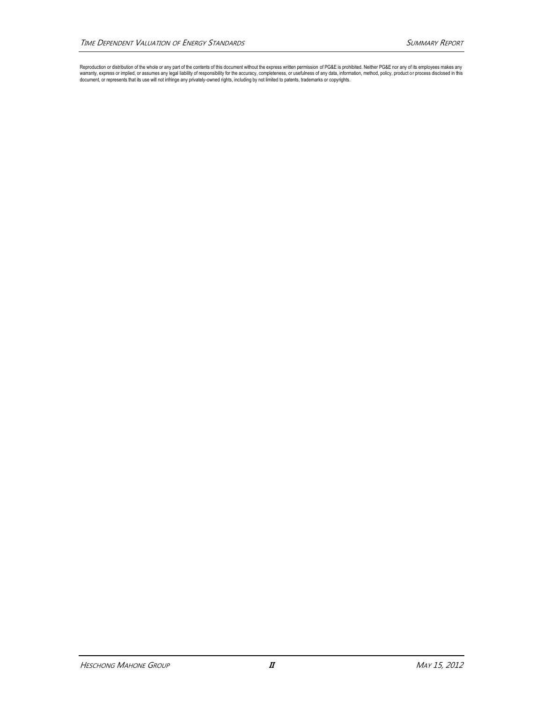Reproduction or distribution of the whole or any part of the contents of this document without the express written permission of PG&E is prohibited. Neither PG&E nor any of its employees makes any<br>warranty, express or impl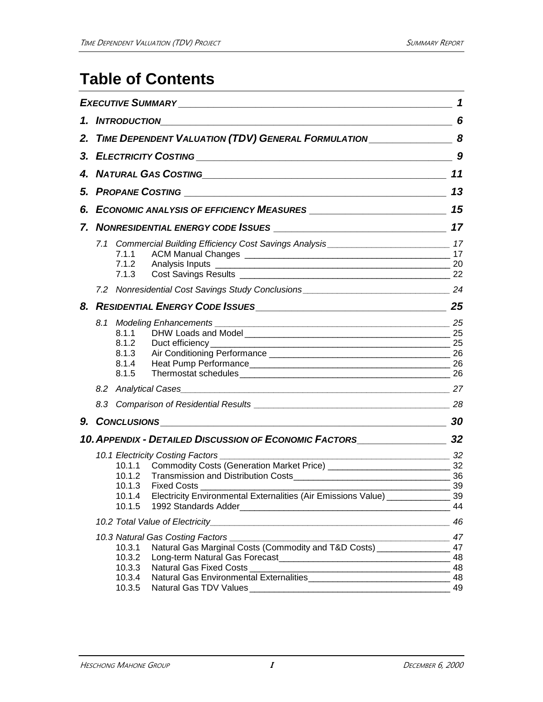# **Table of Contents**

|    |                                                |                                                                                                                                                                                                                                                    | 1                                |
|----|------------------------------------------------|----------------------------------------------------------------------------------------------------------------------------------------------------------------------------------------------------------------------------------------------------|----------------------------------|
|    | 1. INTRODUCTION                                |                                                                                                                                                                                                                                                    | 6                                |
|    |                                                | 2. TIME DEPENDENT VALUATION (TDV) GENERAL FORMULATION __________________________ 8                                                                                                                                                                 |                                  |
|    |                                                |                                                                                                                                                                                                                                                    | 9                                |
|    |                                                | 4. NATURAL GAS COSTING <b>And According to the COST</b>                                                                                                                                                                                            | 11                               |
|    |                                                |                                                                                                                                                                                                                                                    | 13                               |
| 6. |                                                | ECONOMIC ANALYSIS OF EFFICIENCY MEASURES ____________________________                                                                                                                                                                              | 15                               |
|    |                                                |                                                                                                                                                                                                                                                    | 17                               |
|    | 7.1.1<br>7.1.2<br>7.1.3                        |                                                                                                                                                                                                                                                    | 20<br>22                         |
|    |                                                |                                                                                                                                                                                                                                                    |                                  |
|    |                                                | 8. RESIDENTIAL ENERGY CODE ISSUES                                                                                                                                                                                                                  | 25                               |
|    | 8.1.1<br>8.1.2<br>8.1.3<br>8.1.4<br>8.1.5      | 8.1 Modeling Enhancements example and the state of the state of the state of the state of the state of the state of the state of the state of the state of the state of the state of the state of the state of the state of th<br>Duct efficiency_ | 25<br>25<br>25                   |
|    |                                                |                                                                                                                                                                                                                                                    |                                  |
|    |                                                |                                                                                                                                                                                                                                                    |                                  |
|    |                                                |                                                                                                                                                                                                                                                    | 30                               |
|    |                                                | 10. APPENDIX - DETAILED DISCUSSION OF ECONOMIC FACTORS                                                                                                                                                                                             | 32                               |
|    | 10.1.3<br>10.1.4<br>10.1.5                     | 10.1.1 Commodity Costs (Generation Market Price) ________________________________ 32<br><b>Fixed Costs</b><br>Electricity Environmental Externalities (Air Emissions Value) _____________                                                          | 32<br>39<br>39<br>44             |
|    |                                                |                                                                                                                                                                                                                                                    | 46                               |
|    | 10.3.1<br>10.3.2<br>10.3.3<br>10.3.4<br>10.3.5 | 10.3 Natural Gas Costing Factors [1989] [2010] [2010] [2010] [2010] [2010] [2010] [2010] [2010] [2010] [2010] [<br>Natural Gas Marginal Costs (Commodity and T&D Costs) ________________<br>Natural Gas Fixed Costs<br>Natural Gas TDV Values      | 47<br>47<br>48<br>48<br>48<br>49 |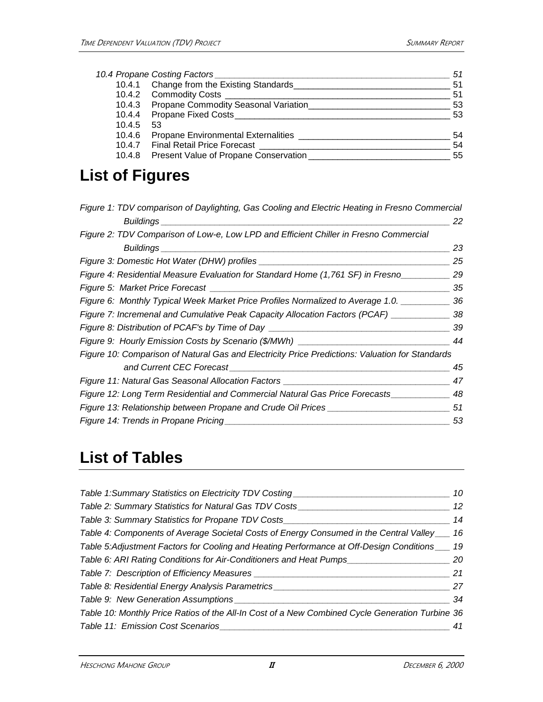|        | 10.4 Propane Costing Factors                 | 51  |
|--------|----------------------------------------------|-----|
|        | 10.4.1 Change from the Existing Standards    | 51  |
|        | 10.4.2 Commodity Costs ______________        | 51  |
|        | 10.4.3 Propane Commodity Seasonal Variation  | 53  |
|        | 10.4.4 Propane Fixed Costs_______________    | -53 |
| 10.4.5 | 53                                           |     |
| 10.4.6 | Propane Environmental Externalities          | 54  |
|        | 10.4.7 Final Retail Price Forecast           | 54  |
|        | 10.4.8 Present Value of Propane Conservation | 55  |
|        |                                              |     |

# **List of Figures**

| Figure 1: TDV comparison of Daylighting, Gas Cooling and Electric Heating in Fresno Commercial  |     |
|-------------------------------------------------------------------------------------------------|-----|
| Buildings                                                                                       | 22  |
| Figure 2: TDV Comparison of Low-e, Low LPD and Efficient Chiller in Fresno Commercial           |     |
|                                                                                                 | 23  |
|                                                                                                 | 25  |
| Figure 4: Residential Measure Evaluation for Standard Home (1,761 SF) in Fresno                 | 29  |
|                                                                                                 | 35  |
| Figure 6: Monthly Typical Week Market Price Profiles Normalized to Average 1.0. _______         | 36  |
| Figure 7: Incremenal and Cumulative Peak Capacity Allocation Factors (PCAF) ___________         | -38 |
| Figure 8: Distribution of PCAF's by Time of Day ________________________________                | 39  |
| Figure 9: Hourly Emission Costs by Scenario (\$/MWh) ____________________________               | 44  |
| Figure 10: Comparison of Natural Gas and Electricity Price Predictions: Valuation for Standards |     |
|                                                                                                 | 45  |
| Figure 11: Natural Gas Seasonal Allocation Factors _____________________________                | 47  |
| Figure 12: Long Term Residential and Commercial Natural Gas Price Forecasts                     | 48  |
| Figure 13: Relationship between Propane and Crude Oil Prices ___________________                | 51  |
| Figure 14: Trends in Propane Pricing                                                            | 53  |

# **List of Tables**

| 10                                                                                              |
|-------------------------------------------------------------------------------------------------|
| 12                                                                                              |
| 14                                                                                              |
| 16                                                                                              |
| 19                                                                                              |
| 20                                                                                              |
| 21                                                                                              |
| 27                                                                                              |
| 34                                                                                              |
| Table 10: Monthly Price Ratios of the All-In Cost of a New Combined Cycle Generation Turbine 36 |
|                                                                                                 |
|                                                                                                 |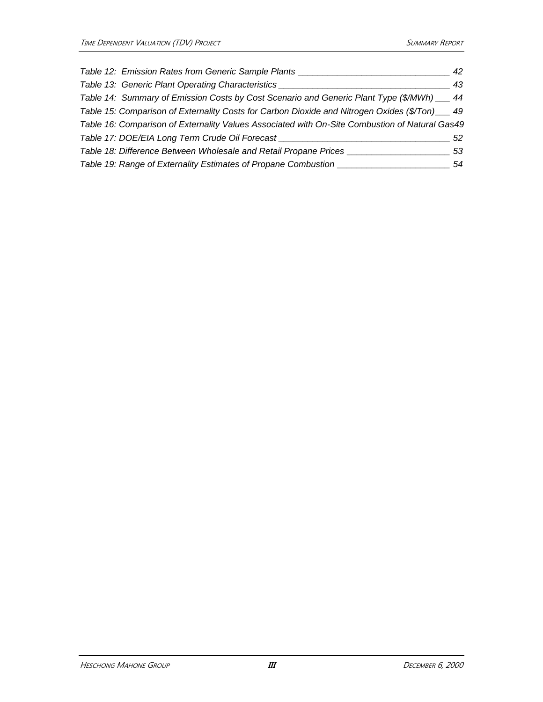| Table 12: Emission Rates from Generic Sample Plants                                             | 42 |
|-------------------------------------------------------------------------------------------------|----|
| Table 13: Generic Plant Operating Characteristics                                               | 43 |
| Table 14: Summary of Emission Costs by Cost Scenario and Generic Plant Type (\$/MWh) __ 44      |    |
| Table 15: Comparison of Externality Costs for Carbon Dioxide and Nitrogen Oxides (\$/Ton) __ 49 |    |
| Table 16: Comparison of Externality Values Associated with On-Site Combustion of Natural Gas49  |    |
| Table 17: DOE/EIA Long Term Crude Oil Forecast                                                  | 52 |
| Table 18: Difference Between Wholesale and Retail Propane Prices                                | 53 |
| Table 19: Range of Externality Estimates of Propane Combustion                                  | 54 |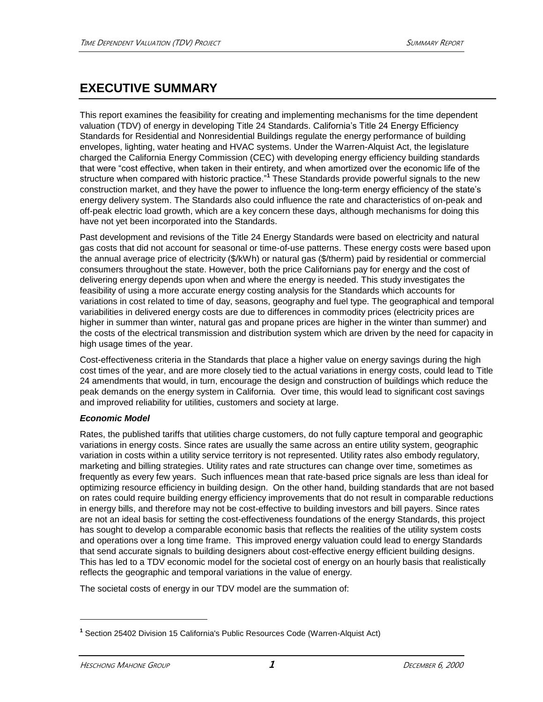## **EXECUTIVE SUMMARY**

This report examines the feasibility for creating and implementing mechanisms for the time dependent valuation (TDV) of energy in developing Title 24 Standards. California's Title 24 Energy Efficiency Standards for Residential and Nonresidential Buildings regulate the energy performance of building envelopes, lighting, water heating and HVAC systems. Under the Warren-Alquist Act, the legislature charged the California Energy Commission (CEC) with developing energy efficiency building standards that were "cost effective, when taken in their entirety, and when amortized over the economic life of the structure when compared with historic practice."**<sup>1</sup>** These Standards provide powerful signals to the new construction market, and they have the power to influence the long-term energy efficiency of the state's energy delivery system. The Standards also could influence the rate and characteristics of on-peak and off-peak electric load growth, which are a key concern these days, although mechanisms for doing this have not yet been incorporated into the Standards.

Past development and revisions of the Title 24 Energy Standards were based on electricity and natural gas costs that did not account for seasonal or time-of-use patterns. These energy costs were based upon the annual average price of electricity (\$/kWh) or natural gas (\$/therm) paid by residential or commercial consumers throughout the state. However, both the price Californians pay for energy and the cost of delivering energy depends upon when and where the energy is needed. This study investigates the feasibility of using a more accurate energy costing analysis for the Standards which accounts for variations in cost related to time of day, seasons, geography and fuel type. The geographical and temporal variabilities in delivered energy costs are due to differences in commodity prices (electricity prices are higher in summer than winter, natural gas and propane prices are higher in the winter than summer) and the costs of the electrical transmission and distribution system which are driven by the need for capacity in high usage times of the year.

Cost-effectiveness criteria in the Standards that place a higher value on energy savings during the high cost times of the year, and are more closely tied to the actual variations in energy costs, could lead to Title 24 amendments that would, in turn, encourage the design and construction of buildings which reduce the peak demands on the energy system in California. Over time, this would lead to significant cost savings and improved reliability for utilities, customers and society at large.

### *Economic Model*

Rates, the published tariffs that utilities charge customers, do not fully capture temporal and geographic variations in energy costs. Since rates are usually the same across an entire utility system, geographic variation in costs within a utility service territory is not represented. Utility rates also embody regulatory, marketing and billing strategies. Utility rates and rate structures can change over time, sometimes as frequently as every few years. Such influences mean that rate-based price signals are less than ideal for optimizing resource efficiency in building design. On the other hand, building standards that are not based on rates could require building energy efficiency improvements that do not result in comparable reductions in energy bills, and therefore may not be cost-effective to building investors and bill payers. Since rates are not an ideal basis for setting the cost-effectiveness foundations of the energy Standards, this project has sought to develop a comparable economic basis that reflects the realities of the utility system costs and operations over a long time frame. This improved energy valuation could lead to energy Standards that send accurate signals to building designers about cost-effective energy efficient building designs. This has led to a TDV economic model for the societal cost of energy on an hourly basis that realistically reflects the geographic and temporal variations in the value of energy.

The societal costs of energy in our TDV model are the summation of:

**<sup>1</sup>** Section 25402 Division 15 California's Public Resources Code (Warren-Alquist Act)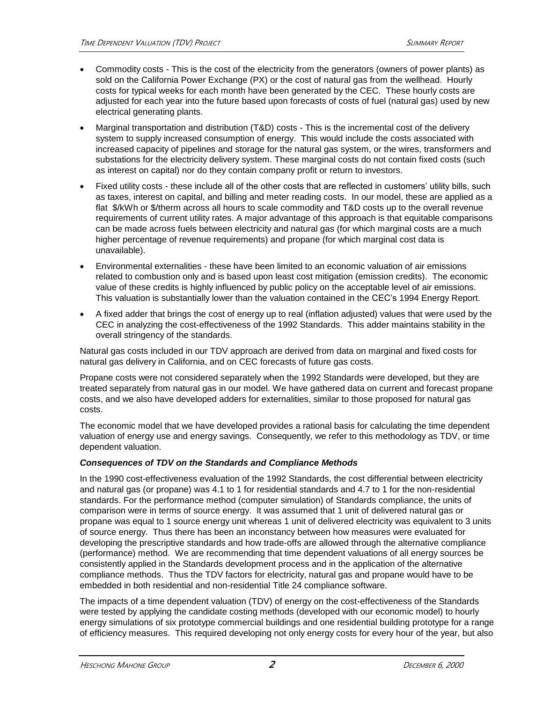- Commodity costs This is the cost of the electricity from the generators (owners of power plants) as sold on the California Power Exchange (PX) or the cost of natural gas from the wellhead. Hourly costs for typical weeks for each month have been generated by the CEC. These hourly costs are adjusted for each year into the future based upon forecasts of costs of fuel (natural gas) used by new electrical generating plants.
- Marginal transportation and distribution (T&D) costs This is the incremental cost of the delivery system to supply increased consumption of energy. This would include the costs associated with increased capacity of pipelines and storage for the natural gas system, or the wires, transformers and substations for the electricity delivery system. These marginal costs do not contain fixed costs (such as interest on capital) nor do they contain company profit or return to investors.
- Fixed utility costs these include all of the other costs that are reflected in customers' utility bills, such as taxes, interest on capital, and billing and meter reading costs. In our model, these are applied as a flat \$/kWh or \$/therm across all hours to scale commodity and T&D costs up to the overall revenue requirements of current utility rates. A major advantage of this approach is that equitable comparisons can be made across fuels between electricity and natural gas (for which marginal costs are a much higher percentage of revenue requirements) and propane (for which marginal cost data is unavailable).
- Environmental externalities these have been limited to an economic valuation of air emissions related to combustion only and is based upon least cost mitigation (emission credits). The economic value of these credits is highly influenced by public policy on the acceptable level of air emissions. This valuation is substantially lower than the valuation contained in the CEC's 1994 Energy Report.
- A fixed adder that brings the cost of energy up to real (inflation adjusted) values that were used by the CEC in analyzing the cost-effectiveness of the 1992 Standards. This adder maintains stability in the overall stringency of the standards.

Natural gas costs included in our TDV approach are derived from data on marginal and fixed costs for natural gas delivery in California, and on CEC forecasts of future gas costs.

Propane costs were not considered separately when the 1992 Standards were developed, but they are treated separately from natural gas in our model. We have gathered data on current and forecast propane costs, and we also have developed adders for externalities, similar to those proposed for natural gas costs.

The economic model that we have developed provides a rational basis for calculating the time dependent valuation of energy use and energy savings. Consequently, we refer to this methodology as TDV, or time dependent valuation.

### *Consequences of TDV on the Standards and Compliance Methods*

In the 1990 cost-effectiveness evaluation of the 1992 Standards, the cost differential between electricity and natural gas (or propane) was 4.1 to 1 for residential standards and 4.7 to 1 for the non-residential standards. For the performance method (computer simulation) of Standards compliance, the units of comparison were in terms of source energy. It was assumed that 1 unit of delivered natural gas or propane was equal to 1 source energy unit whereas 1 unit of delivered electricity was equivalent to 3 units of source energy. Thus there has been an inconstancy between how measures were evaluated for developing the prescriptive standards and how trade-offs are allowed through the alternative compliance (performance) method. We are recommending that time dependent valuations of all energy sources be consistently applied in the Standards development process and in the application of the alternative compliance methods. Thus the TDV factors for electricity, natural gas and propane would have to be embedded in both residential and non-residential Title 24 compliance software.

The impacts of a time dependent valuation (TDV) of energy on the cost-effectiveness of the Standards were tested by applying the candidate costing methods (developed with our economic model) to hourly energy simulations of six prototype commercial buildings and one residential building prototype for a range of efficiency measures. This required developing not only energy costs for every hour of the year, but also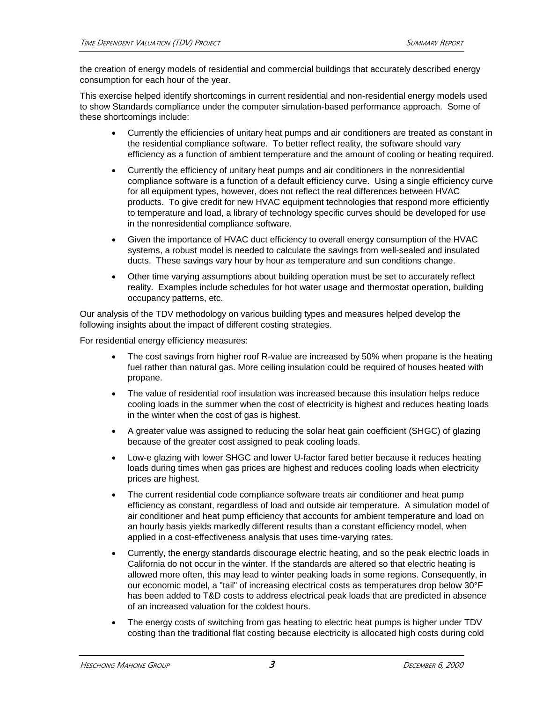the creation of energy models of residential and commercial buildings that accurately described energy consumption for each hour of the year.

This exercise helped identify shortcomings in current residential and non-residential energy models used to show Standards compliance under the computer simulation-based performance approach. Some of these shortcomings include:

- Currently the efficiencies of unitary heat pumps and air conditioners are treated as constant in the residential compliance software. To better reflect reality, the software should vary efficiency as a function of ambient temperature and the amount of cooling or heating required.
- Currently the efficiency of unitary heat pumps and air conditioners in the nonresidential compliance software is a function of a default efficiency curve. Using a single efficiency curve for all equipment types, however, does not reflect the real differences between HVAC products. To give credit for new HVAC equipment technologies that respond more efficiently to temperature and load, a library of technology specific curves should be developed for use in the nonresidential compliance software.
- Given the importance of HVAC duct efficiency to overall energy consumption of the HVAC systems, a robust model is needed to calculate the savings from well-sealed and insulated ducts. These savings vary hour by hour as temperature and sun conditions change.
- Other time varying assumptions about building operation must be set to accurately reflect reality. Examples include schedules for hot water usage and thermostat operation, building occupancy patterns, etc.

Our analysis of the TDV methodology on various building types and measures helped develop the following insights about the impact of different costing strategies.

For residential energy efficiency measures:

- The cost savings from higher roof R-value are increased by 50% when propane is the heating fuel rather than natural gas. More ceiling insulation could be required of houses heated with propane.
- The value of residential roof insulation was increased because this insulation helps reduce cooling loads in the summer when the cost of electricity is highest and reduces heating loads in the winter when the cost of gas is highest.
- A greater value was assigned to reducing the solar heat gain coefficient (SHGC) of glazing because of the greater cost assigned to peak cooling loads.
- Low-e glazing with lower SHGC and lower U-factor fared better because it reduces heating loads during times when gas prices are highest and reduces cooling loads when electricity prices are highest.
- The current residential code compliance software treats air conditioner and heat pump efficiency as constant, regardless of load and outside air temperature. A simulation model of air conditioner and heat pump efficiency that accounts for ambient temperature and load on an hourly basis yields markedly different results than a constant efficiency model, when applied in a cost-effectiveness analysis that uses time-varying rates.
- Currently, the energy standards discourage electric heating, and so the peak electric loads in California do not occur in the winter. If the standards are altered so that electric heating is allowed more often, this may lead to winter peaking loads in some regions. Consequently, in our economic model, a "tail" of increasing electrical costs as temperatures drop below 30°F has been added to T&D costs to address electrical peak loads that are predicted in absence of an increased valuation for the coldest hours.
- The energy costs of switching from gas heating to electric heat pumps is higher under TDV costing than the traditional flat costing because electricity is allocated high costs during cold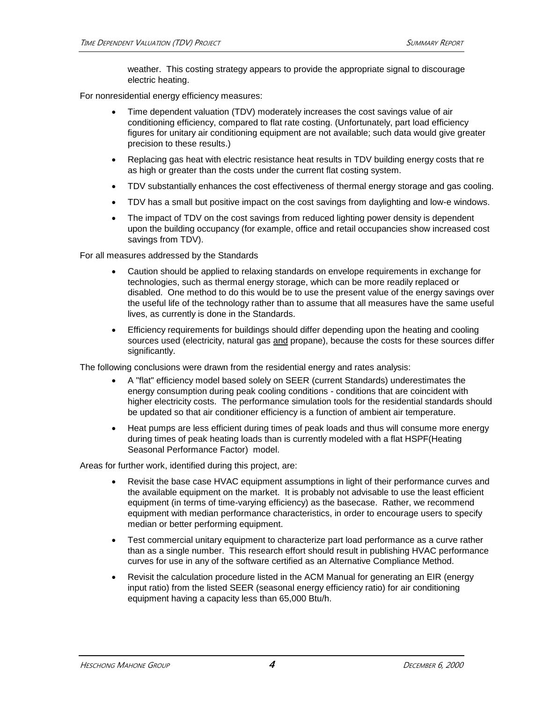weather. This costing strategy appears to provide the appropriate signal to discourage electric heating.

For nonresidential energy efficiency measures:

- Time dependent valuation (TDV) moderately increases the cost savings value of air conditioning efficiency, compared to flat rate costing. (Unfortunately, part load efficiency figures for unitary air conditioning equipment are not available; such data would give greater precision to these results.)
- Replacing gas heat with electric resistance heat results in TDV building energy costs that re as high or greater than the costs under the current flat costing system.
- TDV substantially enhances the cost effectiveness of thermal energy storage and gas cooling.
- TDV has a small but positive impact on the cost savings from daylighting and low-e windows.
- The impact of TDV on the cost savings from reduced lighting power density is dependent upon the building occupancy (for example, office and retail occupancies show increased cost savings from TDV).

For all measures addressed by the Standards

- Caution should be applied to relaxing standards on envelope requirements in exchange for technologies, such as thermal energy storage, which can be more readily replaced or disabled. One method to do this would be to use the present value of the energy savings over the useful life of the technology rather than to assume that all measures have the same useful lives, as currently is done in the Standards.
- Efficiency requirements for buildings should differ depending upon the heating and cooling sources used (electricity, natural gas and propane), because the costs for these sources differ significantly.

The following conclusions were drawn from the residential energy and rates analysis:

- A "flat" efficiency model based solely on SEER (current Standards) underestimates the energy consumption during peak cooling conditions - conditions that are coincident with higher electricity costs. The performance simulation tools for the residential standards should be updated so that air conditioner efficiency is a function of ambient air temperature.
- Heat pumps are less efficient during times of peak loads and thus will consume more energy during times of peak heating loads than is currently modeled with a flat HSPF(Heating Seasonal Performance Factor) model.

Areas for further work, identified during this project, are:

- Revisit the base case HVAC equipment assumptions in light of their performance curves and the available equipment on the market. It is probably not advisable to use the least efficient equipment (in terms of time-varying efficiency) as the basecase. Rather, we recommend equipment with median performance characteristics, in order to encourage users to specify median or better performing equipment.
- Test commercial unitary equipment to characterize part load performance as a curve rather than as a single number. This research effort should result in publishing HVAC performance curves for use in any of the software certified as an Alternative Compliance Method.
- Revisit the calculation procedure listed in the ACM Manual for generating an EIR (energy input ratio) from the listed SEER (seasonal energy efficiency ratio) for air conditioning equipment having a capacity less than 65,000 Btu/h.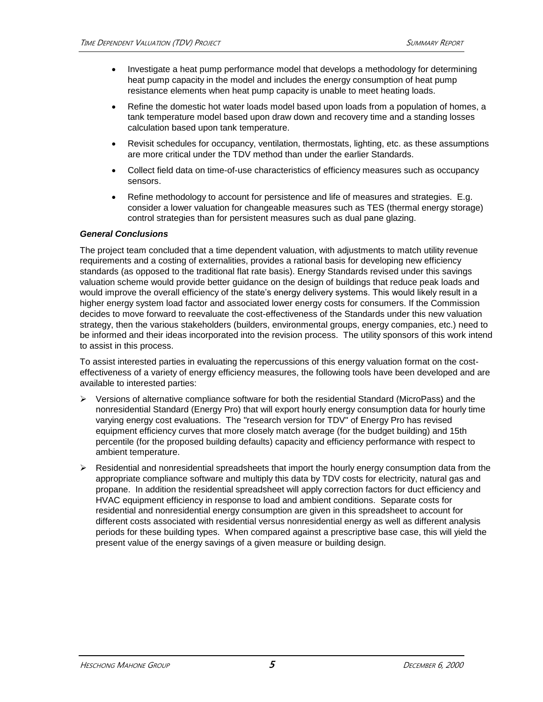- Investigate a heat pump performance model that develops a methodology for determining heat pump capacity in the model and includes the energy consumption of heat pump resistance elements when heat pump capacity is unable to meet heating loads.
- Refine the domestic hot water loads model based upon loads from a population of homes, a tank temperature model based upon draw down and recovery time and a standing losses calculation based upon tank temperature.
- Revisit schedules for occupancy, ventilation, thermostats, lighting, etc. as these assumptions are more critical under the TDV method than under the earlier Standards.
- Collect field data on time-of-use characteristics of efficiency measures such as occupancy sensors.
- Refine methodology to account for persistence and life of measures and strategies. E.g. consider a lower valuation for changeable measures such as TES (thermal energy storage) control strategies than for persistent measures such as dual pane glazing.

#### *General Conclusions*

The project team concluded that a time dependent valuation, with adjustments to match utility revenue requirements and a costing of externalities, provides a rational basis for developing new efficiency standards (as opposed to the traditional flat rate basis). Energy Standards revised under this savings valuation scheme would provide better guidance on the design of buildings that reduce peak loads and would improve the overall efficiency of the state's energy delivery systems. This would likely result in a higher energy system load factor and associated lower energy costs for consumers. If the Commission decides to move forward to reevaluate the cost-effectiveness of the Standards under this new valuation strategy, then the various stakeholders (builders, environmental groups, energy companies, etc.) need to be informed and their ideas incorporated into the revision process. The utility sponsors of this work intend to assist in this process.

To assist interested parties in evaluating the repercussions of this energy valuation format on the costeffectiveness of a variety of energy efficiency measures, the following tools have been developed and are available to interested parties:

- $\triangleright$  Versions of alternative compliance software for both the residential Standard (MicroPass) and the nonresidential Standard (Energy Pro) that will export hourly energy consumption data for hourly time varying energy cost evaluations. The "research version for TDV" of Energy Pro has revised equipment efficiency curves that more closely match average (for the budget building) and 15th percentile (for the proposed building defaults) capacity and efficiency performance with respect to ambient temperature.
- $\triangleright$  Residential and nonresidential spreadsheets that import the hourly energy consumption data from the appropriate compliance software and multiply this data by TDV costs for electricity, natural gas and propane. In addition the residential spreadsheet will apply correction factors for duct efficiency and HVAC equipment efficiency in response to load and ambient conditions. Separate costs for residential and nonresidential energy consumption are given in this spreadsheet to account for different costs associated with residential versus nonresidential energy as well as different analysis periods for these building types. When compared against a prescriptive base case, this will yield the present value of the energy savings of a given measure or building design.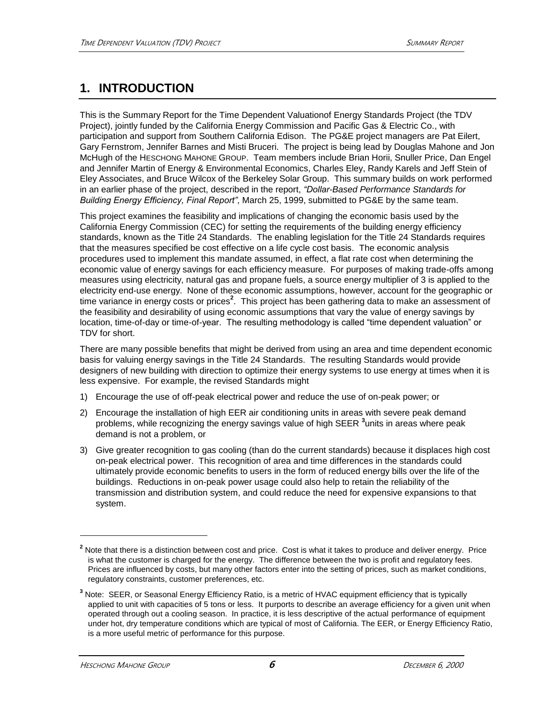# **1. INTRODUCTION**

This is the Summary Report for the Time Dependent Valuationof Energy Standards Project (the TDV Project), jointly funded by the California Energy Commission and Pacific Gas & Electric Co., with participation and support from Southern California Edison. The PG&E project managers are Pat Eilert, Gary Fernstrom, Jennifer Barnes and Misti Bruceri. The project is being lead by Douglas Mahone and Jon McHugh of the HESCHONG MAHONE GROUP. Team members include Brian Horii, Snuller Price, Dan Engel and Jennifer Martin of Energy & Environmental Economics, Charles Eley, Randy Karels and Jeff Stein of Eley Associates, and Bruce Wilcox of the Berkeley Solar Group. This summary builds on work performed in an earlier phase of the project, described in the report, *"Dollar-Based Performance Standards for Building Energy Efficiency, Final Report"*, March 25, 1999, submitted to PG&E by the same team.

This project examines the feasibility and implications of changing the economic basis used by the California Energy Commission (CEC) for setting the requirements of the building energy efficiency standards, known as the Title 24 Standards. The enabling legislation for the Title 24 Standards requires that the measures specified be cost effective on a life cycle cost basis. The economic analysis procedures used to implement this mandate assumed, in effect, a flat rate cost when determining the economic value of energy savings for each efficiency measure. For purposes of making trade-offs among measures using electricity, natural gas and propane fuels, a source energy multiplier of 3 is applied to the electricity end-use energy. None of these economic assumptions, however, account for the geographic or time variance in energy costs or prices**<sup>2</sup>** . This project has been gathering data to make an assessment of the feasibility and desirability of using economic assumptions that vary the value of energy savings by location, time-of-day or time-of-year. The resulting methodology is called "time dependent valuation" or TDV for short.

There are many possible benefits that might be derived from using an area and time dependent economic basis for valuing energy savings in the Title 24 Standards. The resulting Standards would provide designers of new building with direction to optimize their energy systems to use energy at times when it is less expensive. For example, the revised Standards might

- 1) Encourage the use of off-peak electrical power and reduce the use of on-peak power; or
- 2) Encourage the installation of high EER air conditioning units in areas with severe peak demand problems, while recognizing the energy savings value of high SEER **<sup>3</sup>** units in areas where peak demand is not a problem, or
- 3) Give greater recognition to gas cooling (than do the current standards) because it displaces high cost on-peak electrical power. This recognition of area and time differences in the standards could ultimately provide economic benefits to users in the form of reduced energy bills over the life of the buildings. Reductions in on-peak power usage could also help to retain the reliability of the transmission and distribution system, and could reduce the need for expensive expansions to that system.

<sup>&</sup>lt;sup>2</sup> Note that there is a distinction between cost and price. Cost is what it takes to produce and deliver energy. Price is what the customer is charged for the energy. The difference between the two is profit and regulatory fees. Prices are influenced by costs, but many other factors enter into the setting of prices, such as market conditions, regulatory constraints, customer preferences, etc.

**<sup>3</sup>** Note: SEER, or Seasonal Energy Efficiency Ratio, is a metric of HVAC equipment efficiency that is typically applied to unit with capacities of 5 tons or less. It purports to describe an average efficiency for a given unit when operated through out a cooling season. In practice, it is less descriptive of the actual performance of equipment under hot, dry temperature conditions which are typical of most of California. The EER, or Energy Efficiency Ratio, is a more useful metric of performance for this purpose.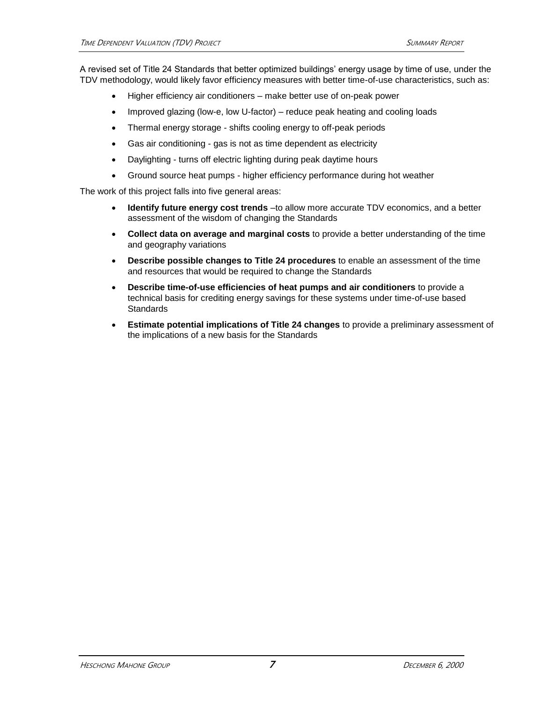A revised set of Title 24 Standards that better optimized buildings' energy usage by time of use, under the TDV methodology, would likely favor efficiency measures with better time-of-use characteristics, such as:

- Higher efficiency air conditioners make better use of on-peak power
- Improved glazing (low-e, low U-factor) reduce peak heating and cooling loads
- Thermal energy storage shifts cooling energy to off-peak periods
- Gas air conditioning gas is not as time dependent as electricity
- Daylighting turns off electric lighting during peak daytime hours
- Ground source heat pumps higher efficiency performance during hot weather

The work of this project falls into five general areas:

- **Identify future energy cost trends** –to allow more accurate TDV economics, and a better assessment of the wisdom of changing the Standards
- **Collect data on average and marginal costs** to provide a better understanding of the time and geography variations
- **Describe possible changes to Title 24 procedures** to enable an assessment of the time and resources that would be required to change the Standards
- **Describe time-of-use efficiencies of heat pumps and air conditioners** to provide a technical basis for crediting energy savings for these systems under time-of-use based **Standards**
- **Estimate potential implications of Title 24 changes** to provide a preliminary assessment of the implications of a new basis for the Standards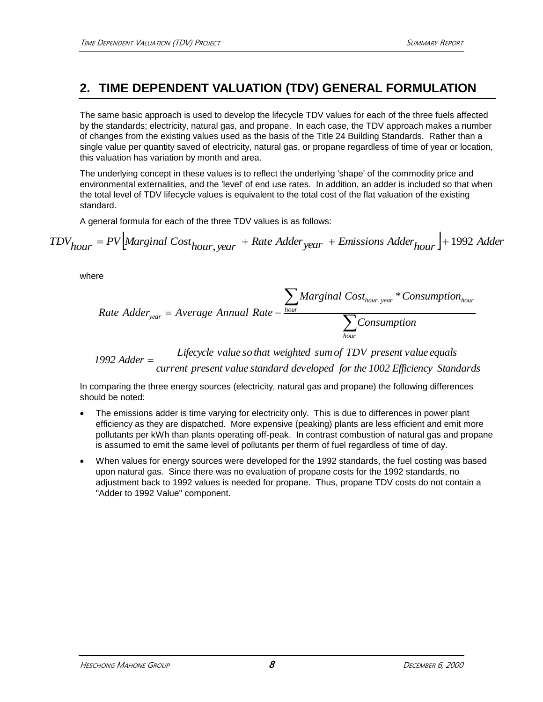## **2. TIME DEPENDENT VALUATION (TDV) GENERAL FORMULATION**

The same basic approach is used to develop the lifecycle TDV values for each of the three fuels affected by the standards; electricity, natural gas, and propane. In each case, the TDV approach makes a number of changes from the existing values used as the basis of the Title 24 Building Standards. Rather than a single value per quantity saved of electricity, natural gas, or propane regardless of time of year or location, this valuation has variation by month and area.

The underlying concept in these values is to reflect the underlying 'shape' of the commodity price and environmental externalities, and the 'level' of end use rates. In addition, an adder is included so that when the total level of TDV lifecycle values is equivalent to the total cost of the flat valuation of the existing standard.

A general formula for each of the three TDV values is as follows:

 $TDV_{hour} = PV$ <sup>[Marginal Cost<sub>hour, year</sub> + Rate Adder<sub>year</sub> + Emissions Adder<sub>hour</sub>]+1992 Adder</sup>

where

Rate Adder<sub>year</sub> = Average Annual Rate - 
$$
\frac{\sum_{hour} Marginal Cost_{hour,year} * Consumption_{hour}}{\sum_{hour}Comparison}
$$

*current present value standard developed for the 1002 Efficiency Standards Lifecycle value so that weighted sumof TDV present value equals 1992 Adder*

In comparing the three energy sources (electricity, natural gas and propane) the following differences should be noted:

- The emissions adder is time varying for electricity only. This is due to differences in power plant efficiency as they are dispatched. More expensive (peaking) plants are less efficient and emit more pollutants per kWh than plants operating off-peak. In contrast combustion of natural gas and propane is assumed to emit the same level of pollutants per therm of fuel regardless of time of day.
- When values for energy sources were developed for the 1992 standards, the fuel costing was based upon natural gas. Since there was no evaluation of propane costs for the 1992 standards, no adjustment back to 1992 values is needed for propane. Thus, propane TDV costs do not contain a "Adder to 1992 Value" component.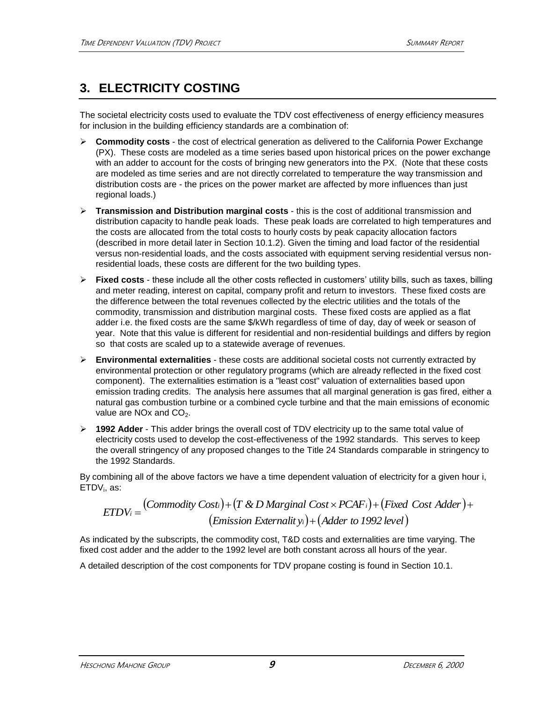# **3. ELECTRICITY COSTING**

The societal electricity costs used to evaluate the TDV cost effectiveness of energy efficiency measures for inclusion in the building efficiency standards are a combination of:

- **Commodity costs** the cost of electrical generation as delivered to the California Power Exchange (PX). These costs are modeled as a time series based upon historical prices on the power exchange with an adder to account for the costs of bringing new generators into the PX. (Note that these costs are modeled as time series and are not directly correlated to temperature the way transmission and distribution costs are - the prices on the power market are affected by more influences than just regional loads.)
- **Transmission and Distribution marginal costs** this is the cost of additional transmission and distribution capacity to handle peak loads. These peak loads are correlated to high temperatures and the costs are allocated from the total costs to hourly costs by peak capacity allocation factors (described in more detail later in Section 10.1.2). Given the timing and load factor of the residential versus non-residential loads, and the costs associated with equipment serving residential versus nonresidential loads, these costs are different for the two building types.
- **Fixed costs** these include all the other costs reflected in customers' utility bills, such as taxes, billing and meter reading, interest on capital, company profit and return to investors. These fixed costs are the difference between the total revenues collected by the electric utilities and the totals of the commodity, transmission and distribution marginal costs. These fixed costs are applied as a flat adder i.e. the fixed costs are the same \$/kWh regardless of time of day, day of week or season of year. Note that this value is different for residential and non-residential buildings and differs by region so that costs are scaled up to a statewide average of revenues.
- **Environmental externalities**  these costs are additional societal costs not currently extracted by environmental protection or other regulatory programs (which are already reflected in the fixed cost component). The externalities estimation is a "least cost" valuation of externalities based upon emission trading credits. The analysis here assumes that all marginal generation is gas fired, either a natural gas combustion turbine or a combined cycle turbine and that the main emissions of economic value are NO<sub>x</sub> and CO<sub>2</sub>.
- **1992 Adder**  This adder brings the overall cost of TDV electricity up to the same total value of electricity costs used to develop the cost-effectiveness of the 1992 standards. This serves to keep the overall stringency of any proposed changes to the Title 24 Standards comparable in stringency to the 1992 Standards.

By combining all of the above factors we have a time dependent valuation of electricity for a given hour i, ETDV<sub>i</sub>, as:

$$
ETDV_i = (Commodity Cost_i) + (T & D\; Marginal Cost \times PCAF_i) + (Fixed Cost \; Adder) + (Emission \; Externality_i) + (Adder \; to \; 1992 \; level)
$$

As indicated by the subscripts, the commodity cost, T&D costs and externalities are time varying. The fixed cost adder and the adder to the 1992 level are both constant across all hours of the year.

A detailed description of the cost components for TDV propane costing is found in Section 10.1.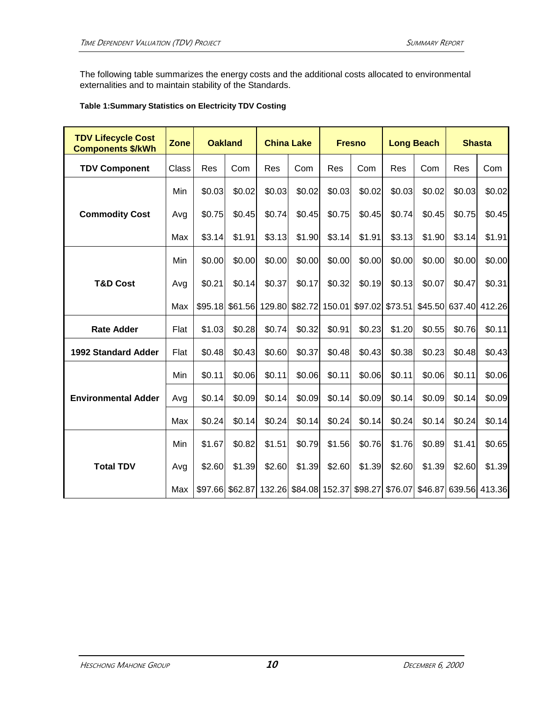The following table summarizes the energy costs and the additional costs allocated to environmental externalities and to maintain stability of the Standards.

#### **Table 1:Summary Statistics on Electricity TDV Costing**

| <b>TDV Lifecycle Cost</b><br><b>Components \$/kWh</b> | Zone  |         | <b>Oakland</b> |                | <b>China Lake</b>                             |                | <b>Fresno</b> |         | <b>Long Beach</b> |                               | <b>Shasta</b> |
|-------------------------------------------------------|-------|---------|----------------|----------------|-----------------------------------------------|----------------|---------------|---------|-------------------|-------------------------------|---------------|
| <b>TDV Component</b>                                  | Class | Res     | Com            | Res            | Com                                           | Res            | Com           | Res     | Com               | Res                           | Com           |
|                                                       | Min   | \$0.03  | \$0.02         | \$0.03         | \$0.02                                        | \$0.03         | \$0.02        | \$0.03  | \$0.02            | \$0.03                        | \$0.02        |
| <b>Commodity Cost</b>                                 | Avg   | \$0.75  | \$0.45         | \$0.74         | \$0.45                                        | \$0.75         | \$0.45        | \$0.74  | \$0.45            | \$0.75                        | \$0.45        |
|                                                       | Max   | \$3.14  | \$1.91         | \$3.13         | \$1.90                                        | \$3.14         | \$1.91        | \$3.13  | \$1.90            | \$3.14                        | \$1.91        |
|                                                       | Min   | \$0.00  | \$0.00         | \$0.00         | \$0.00                                        | \$0.00         | \$0.00        | \$0.00  | \$0.00            | \$0.00                        | \$0.00        |
| <b>T&amp;D Cost</b>                                   | Avg   | \$0.21  | \$0.14         | \$0.37         | \$0.17                                        | \$0.32         | \$0.19        | \$0.13  | \$0.07            | \$0.47                        | \$0.31        |
|                                                       | Max   | \$95.18 |                | \$61.56 129.80 |                                               | \$82.72 150.01 | \$97.02       | \$73.51 |                   | \$45.50 637.40                | 412.26        |
| <b>Rate Adder</b>                                     | Flat  | \$1.03  | \$0.28         | \$0.74         | \$0.32                                        | \$0.91         | \$0.23        | \$1.20  | \$0.55            | \$0.76                        | \$0.11        |
| <b>1992 Standard Adder</b>                            | Flat  | \$0.48  | \$0.43         | \$0.60         | \$0.37                                        | \$0.48         | \$0.43        | \$0.38  | \$0.23            | \$0.48                        | \$0.43        |
|                                                       | Min   | \$0.11  | \$0.06         | \$0.11         | \$0.06                                        | \$0.11         | \$0.06        | \$0.11  | \$0.06            | \$0.11                        | \$0.06        |
| <b>Environmental Adder</b>                            | Avg   | \$0.14  | \$0.09         | \$0.14         | \$0.09                                        | \$0.14         | \$0.09        | \$0.14  | \$0.09            | \$0.14                        | \$0.09        |
|                                                       | Max   | \$0.24  | \$0.14         | \$0.24         | \$0.14                                        | \$0.24         | \$0.14        | \$0.24  | \$0.14            | \$0.24                        | \$0.14        |
|                                                       | Min   | \$1.67  | \$0.82         | \$1.51         | \$0.79                                        | \$1.56         | \$0.76        | \$1.76  | \$0.89            | \$1.41                        | \$0.65        |
| <b>Total TDV</b>                                      | Avg   | \$2.60  | \$1.39         | \$2.60         | \$1.39                                        | \$2.60         | \$1.39        | \$2.60  | \$1.39            | \$2.60                        | \$1.39        |
|                                                       | Max   |         |                |                | \$97.66 \$62.87 132.26 \$84.08 152.37 \$98.27 |                |               |         |                   | \$76.07 \$46.87 639.56 413.36 |               |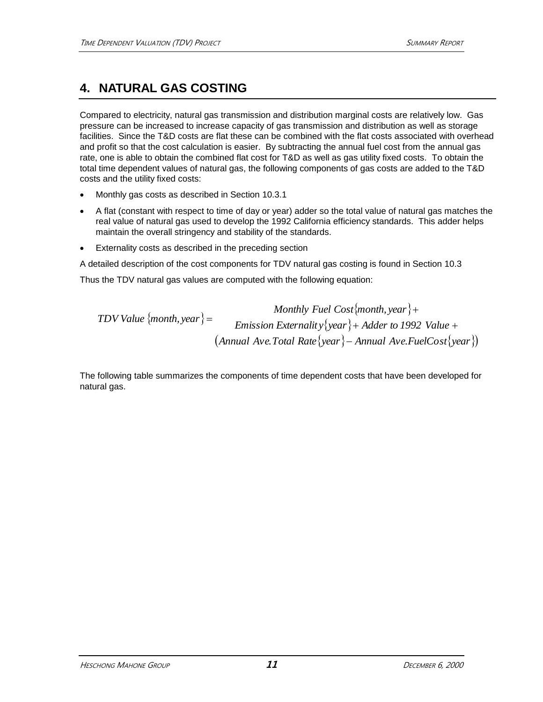# **4. NATURAL GAS COSTING**

Compared to electricity, natural gas transmission and distribution marginal costs are relatively low. Gas pressure can be increased to increase capacity of gas transmission and distribution as well as storage facilities. Since the T&D costs are flat these can be combined with the flat costs associated with overhead and profit so that the cost calculation is easier. By subtracting the annual fuel cost from the annual gas rate, one is able to obtain the combined flat cost for T&D as well as gas utility fixed costs. To obtain the total time dependent values of natural gas, the following components of gas costs are added to the T&D costs and the utility fixed costs:

- Monthly gas costs as described in Section 10.3.1
- A flat (constant with respect to time of day or year) adder so the total value of natural gas matches the real value of natural gas used to develop the 1992 California efficiency standards. This adder helps maintain the overall stringency and stability of the standards.
- Externality costs as described in the preceding section

A detailed description of the cost components for TDV natural gas costing is found in Section 10.3

Thus the TDV natural gas values are computed with the following equation:

*Monthly Teul Cost{month, year}* 
$$
+
$$
 *EDV Value {month, year}*  $=$  *Emission Externality {year}*  $+$  *Adder to 1992 Value*  $+$  *(Annual Ave.Total Rate {year}*  $-$  *Annual Ave.FuelCost {year} )*

The following table summarizes the components of time dependent costs that have been developed for natural gas.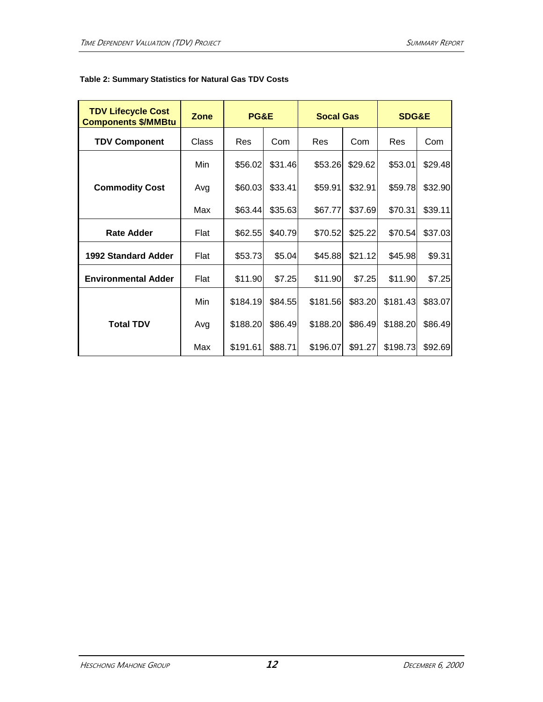| <b>TDV Lifecycle Cost</b><br><b>Components \$/MMBtu</b> | <b>Zone</b> | PG&E       |         | <b>Socal Gas</b> |         | <b>SDG&amp;E</b> |         |
|---------------------------------------------------------|-------------|------------|---------|------------------|---------|------------------|---------|
| <b>TDV Component</b>                                    | Class       | <b>Res</b> | Com     | Res              | Com     | <b>Res</b>       | Com     |
|                                                         | Min         | \$56.02    | \$31.46 | \$53.26          | \$29.62 | \$53.01          | \$29.48 |
| <b>Commodity Cost</b>                                   | Avg         | \$60.03    | \$33.41 | \$59.91          | \$32.91 | \$59.78          | \$32.90 |
|                                                         | Max         | \$63.44    | \$35.63 | \$67.77          | \$37.69 | \$70.31          | \$39.11 |
| <b>Rate Adder</b>                                       | Flat        | \$62.55    | \$40.79 | \$70.52          | \$25.22 | \$70.54          | \$37.03 |
| 1992 Standard Adder                                     | Flat        | \$53.73    | \$5.04  | \$45.88          | \$21.12 | \$45.98          | \$9.31  |
| <b>Environmental Adder</b>                              | Flat        | \$11.90    | \$7.25  | \$11.90          | \$7.25  | \$11.90          | \$7.25  |
|                                                         | Min         | \$184.19   | \$84.55 | \$181.56         | \$83.20 | \$181.43         | \$83.07 |
| <b>Total TDV</b>                                        | Avg         | \$188.20   | \$86.49 | \$188.20         | \$86.49 | \$188.20         | \$86.49 |
|                                                         | Max         | \$191.61   | \$88.71 | \$196.07         | \$91.27 | \$198.73         | \$92.69 |

### **Table 2: Summary Statistics for Natural Gas TDV Costs**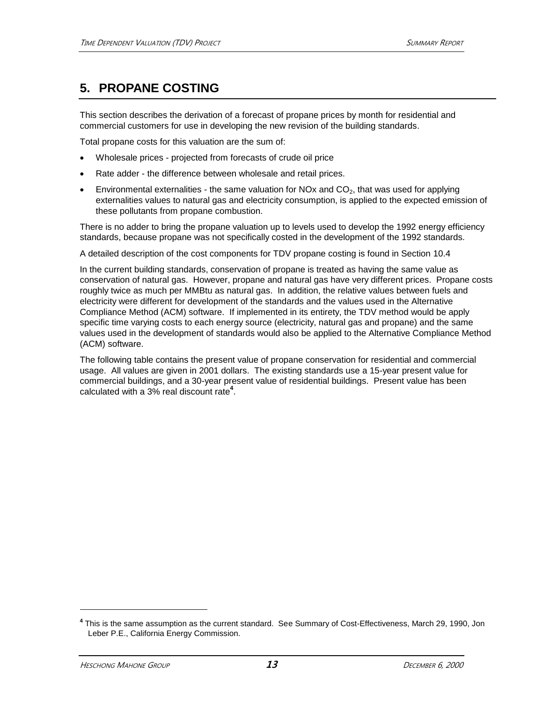## **5. PROPANE COSTING**

This section describes the derivation of a forecast of propane prices by month for residential and commercial customers for use in developing the new revision of the building standards.

Total propane costs for this valuation are the sum of:

- Wholesale prices projected from forecasts of crude oil price
- Rate adder the difference between wholesale and retail prices.
- Environmental externalities the same valuation for NOx and  $CO<sub>2</sub>$ , that was used for applying externalities values to natural gas and electricity consumption, is applied to the expected emission of these pollutants from propane combustion.

There is no adder to bring the propane valuation up to levels used to develop the 1992 energy efficiency standards, because propane was not specifically costed in the development of the 1992 standards.

A detailed description of the cost components for TDV propane costing is found in Section 10.4

In the current building standards, conservation of propane is treated as having the same value as conservation of natural gas. However, propane and natural gas have very different prices. Propane costs roughly twice as much per MMBtu as natural gas. In addition, the relative values between fuels and electricity were different for development of the standards and the values used in the Alternative Compliance Method (ACM) software. If implemented in its entirety, the TDV method would be apply specific time varying costs to each energy source (electricity, natural gas and propane) and the same values used in the development of standards would also be applied to the Alternative Compliance Method (ACM) software.

The following table contains the present value of propane conservation for residential and commercial usage. All values are given in 2001 dollars. The existing standards use a 15-year present value for commercial buildings, and a 30-year present value of residential buildings. Present value has been calculated with a 3% real discount rate**<sup>4</sup>** .

**<sup>4</sup>** This is the same assumption as the current standard. See Summary of Cost-Effectiveness, March 29, 1990, Jon Leber P.E., California Energy Commission.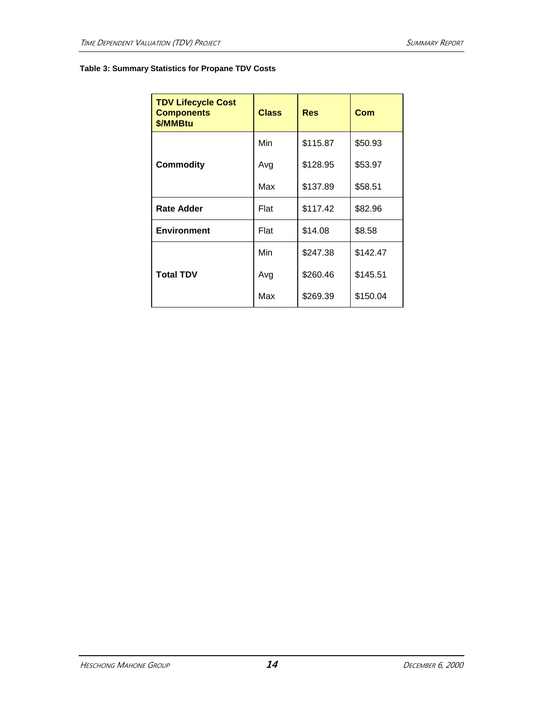### **Table 3: Summary Statistics for Propane TDV Costs**

| <b>TDV Lifecycle Cost</b><br><b>Components</b><br>\$/MMBtu | <b>Class</b> | <b>Res</b> | Com      |
|------------------------------------------------------------|--------------|------------|----------|
|                                                            | Min          | \$115.87   | \$50.93  |
| <b>Commodity</b>                                           | Avg          | \$128.95   | \$53.97  |
|                                                            | Max          | \$137.89   | \$58.51  |
| <b>Rate Adder</b>                                          | Flat         | \$117.42   | \$82.96  |
| <b>Environment</b>                                         | Flat         | \$14.08    | \$8.58   |
|                                                            | Min          | \$247.38   | \$142.47 |
| <b>Total TDV</b>                                           | Avg          | \$260.46   | \$145.51 |
|                                                            | Max          | \$269.39   | \$150.04 |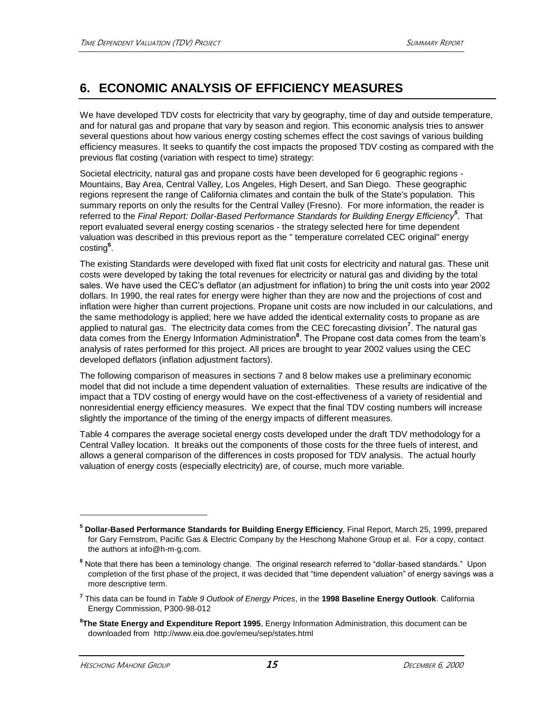# **6. ECONOMIC ANALYSIS OF EFFICIENCY MEASURES**

We have developed TDV costs for electricity that vary by geography, time of day and outside temperature, and for natural gas and propane that vary by season and region. This economic analysis tries to answer several questions about how various energy costing schemes effect the cost savings of various building efficiency measures. It seeks to quantify the cost impacts the proposed TDV costing as compared with the previous flat costing (variation with respect to time) strategy:

Societal electricity, natural gas and propane costs have been developed for 6 geographic regions - Mountains, Bay Area, Central Valley, Los Angeles, High Desert, and San Diego. These geographic regions represent the range of California climates and contain the bulk of the State's population. This summary reports on only the results for the Central Valley (Fresno). For more information, the reader is referred to the *Final Report: Dollar-Based Performance Standards for Building Energy Efficiency<sup>5</sup>* . That report evaluated several energy costing scenarios - the strategy selected here for time dependent valuation was described in this previous report as the " temperature correlated CEC original" energy costing**<sup>6</sup>** .

The existing Standards were developed with fixed flat unit costs for electricity and natural gas. These unit costs were developed by taking the total revenues for electricity or natural gas and dividing by the total sales. We have used the CEC's deflator (an adjustment for inflation) to bring the unit costs into year 2002 dollars. In 1990, the real rates for energy were higher than they are now and the projections of cost and inflation were higher than current projections. Propane unit costs are now included in our calculations, and the same methodology is applied; here we have added the identical externality costs to propane as are applied to natural gas. The electricity data comes from the CEC forecasting division**<sup>7</sup>** . The natural gas data comes from the Energy Information Administration**<sup>8</sup>** . The Propane cost data comes from the team's analysis of rates performed for this project. All prices are brought to year 2002 values using the CEC developed deflators (inflation adjustment factors).

The following comparison of measures in sections 7 and 8 below makes use a preliminary economic model that did not include a time dependent valuation of externalities. These results are indicative of the impact that a TDV costing of energy would have on the cost-effectiveness of a variety of residential and nonresidential energy efficiency measures. We expect that the final TDV costing numbers will increase slightly the importance of the timing of the energy impacts of different measures.

Table 4 compares the average societal energy costs developed under the draft TDV methodology for a Central Valley location. It breaks out the components of those costs for the three fuels of interest, and allows a general comparison of the differences in costs proposed for TDV analysis. The actual hourly valuation of energy costs (especially electricity) are, of course, much more variable.

**8 The State Energy and Expenditure Report 1995**, Energy Information Administration, this document can be downloaded from http://www.eia.doe.gov/emeu/sep/states.html

**<sup>5</sup> Dollar-Based Performance Standards for Building Energy Efficiency**, Final Report, March 25, 1999, prepared for Gary Fernstrom, Pacific Gas & Electric Company by the Heschong Mahone Group et al. For a copy, contact the authors at info@h-m-g.com.

**<sup>6</sup>** Note that there has been a teminology change. The original research referred to "dollar-based standards." Upon completion of the first phase of the project, it was decided that "time dependent valuation" of energy savings was a more descriptive term.

**<sup>7</sup>** This data can be found in *Table 9 Outlook of Energy Prices*, in the **1998 Baseline Energy Outlook**. California Energy Commission, P300-98-012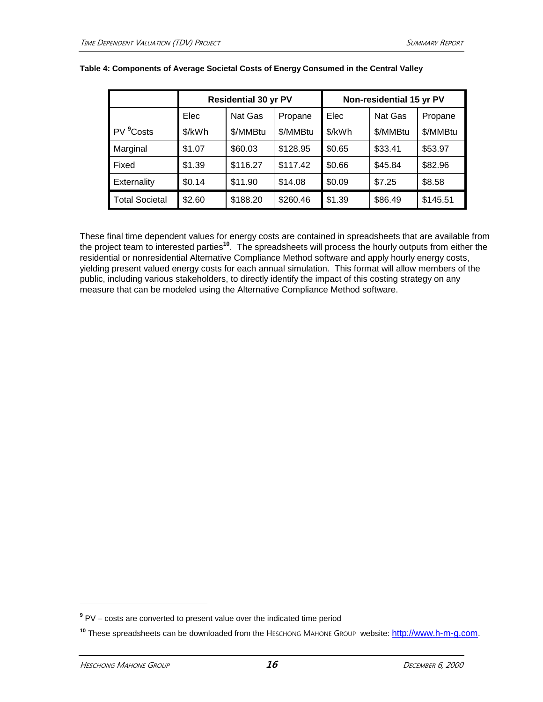|                       |        | <b>Residential 30 yr PV</b> |          |        | Non-residential 15 yr PV |          |
|-----------------------|--------|-----------------------------|----------|--------|--------------------------|----------|
|                       | Elec   | Nat Gas                     | Propane  | Elec   | Nat Gas                  | Propane  |
| PV <sup>9</sup> Costs | \$/kWh | \$/MMBtu                    | \$/MMBtu | \$/kWh | \$/MMBtu                 | \$/MMBtu |
| Marginal              | \$1.07 | \$60.03                     | \$128.95 | \$0.65 | \$33.41                  | \$53.97  |
| Fixed                 | \$1.39 | \$116.27                    | \$117.42 | \$0.66 | \$45.84                  | \$82.96  |
| <b>Externality</b>    | \$0.14 | \$11.90                     | \$14.08  | \$0.09 | \$7.25                   | \$8.58   |
| <b>Total Societal</b> | \$2.60 | \$188.20                    | \$260.46 | \$1.39 | \$86.49                  | \$145.51 |

#### **Table 4: Components of Average Societal Costs of Energy Consumed in the Central Valley**

These final time dependent values for energy costs are contained in spreadsheets that are available from the project team to interested parties**<sup>10</sup>**. The spreadsheets will process the hourly outputs from either the residential or nonresidential Alternative Compliance Method software and apply hourly energy costs, yielding present valued energy costs for each annual simulation. This format will allow members of the public, including various stakeholders, to directly identify the impact of this costing strategy on any measure that can be modeled using the Alternative Compliance Method software.

**<sup>9</sup>** PV – costs are converted to present value over the indicated time period

**<sup>10</sup>** These spreadsheets can be downloaded from the HESCHONG MAHONE GROUP website: [http://www.h-m-g.com](http://www.h-m-g.com/).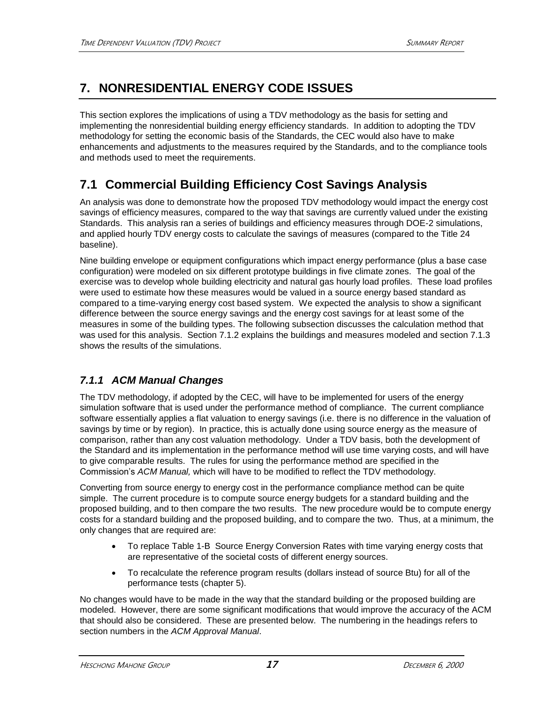# **7. NONRESIDENTIAL ENERGY CODE ISSUES**

This section explores the implications of using a TDV methodology as the basis for setting and implementing the nonresidential building energy efficiency standards. In addition to adopting the TDV methodology for setting the economic basis of the Standards, the CEC would also have to make enhancements and adjustments to the measures required by the Standards, and to the compliance tools and methods used to meet the requirements.

# **7.1 Commercial Building Efficiency Cost Savings Analysis**

An analysis was done to demonstrate how the proposed TDV methodology would impact the energy cost savings of efficiency measures, compared to the way that savings are currently valued under the existing Standards. This analysis ran a series of buildings and efficiency measures through DOE-2 simulations, and applied hourly TDV energy costs to calculate the savings of measures (compared to the Title 24 baseline).

Nine building envelope or equipment configurations which impact energy performance (plus a base case configuration) were modeled on six different prototype buildings in five climate zones. The goal of the exercise was to develop whole building electricity and natural gas hourly load profiles. These load profiles were used to estimate how these measures would be valued in a source energy based standard as compared to a time-varying energy cost based system. We expected the analysis to show a significant difference between the source energy savings and the energy cost savings for at least some of the measures in some of the building types. The following subsection discusses the calculation method that was used for this analysis. Section 7.1.2 explains the buildings and measures modeled and section 7.1.3 shows the results of the simulations.

### *7.1.1 ACM Manual Changes*

The TDV methodology, if adopted by the CEC, will have to be implemented for users of the energy simulation software that is used under the performance method of compliance. The current compliance software essentially applies a flat valuation to energy savings (i.e. there is no difference in the valuation of savings by time or by region). In practice, this is actually done using source energy as the measure of comparison, rather than any cost valuation methodology. Under a TDV basis, both the development of the Standard and its implementation in the performance method will use time varying costs, and will have to give comparable results. The rules for using the performance method are specified in the Commission's *ACM Manual,* which will have to be modified to reflect the TDV methodology.

Converting from source energy to energy cost in the performance compliance method can be quite simple. The current procedure is to compute source energy budgets for a standard building and the proposed building, and to then compare the two results. The new procedure would be to compute energy costs for a standard building and the proposed building, and to compare the two. Thus, at a minimum, the only changes that are required are:

- To replace Table 1-B Source Energy Conversion Rates with time varying energy costs that are representative of the societal costs of different energy sources.
- To recalculate the reference program results (dollars instead of source Btu) for all of the performance tests (chapter 5).

No changes would have to be made in the way that the standard building or the proposed building are modeled. However, there are some significant modifications that would improve the accuracy of the ACM that should also be considered. These are presented below. The numbering in the headings refers to section numbers in the *ACM Approval Manual*.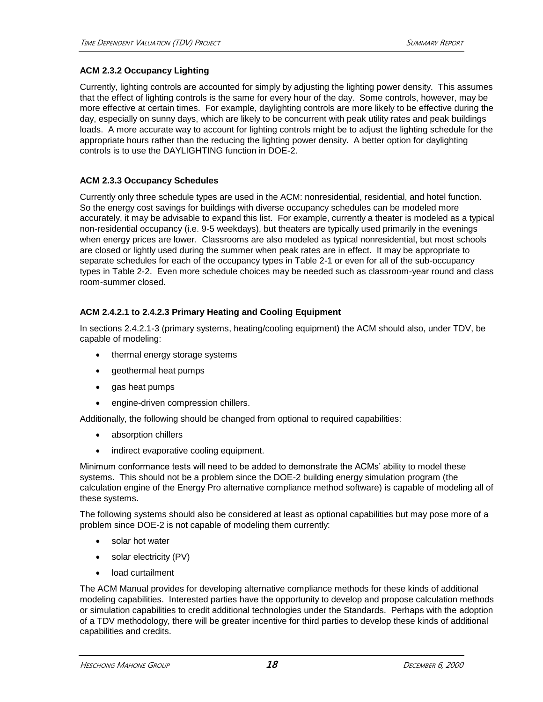### **ACM 2.3.2 Occupancy Lighting**

Currently, lighting controls are accounted for simply by adjusting the lighting power density. This assumes that the effect of lighting controls is the same for every hour of the day. Some controls, however, may be more effective at certain times. For example, daylighting controls are more likely to be effective during the day, especially on sunny days, which are likely to be concurrent with peak utility rates and peak buildings loads. A more accurate way to account for lighting controls might be to adjust the lighting schedule for the appropriate hours rather than the reducing the lighting power density. A better option for daylighting controls is to use the DAYLIGHTING function in DOE-2.

### **ACM 2.3.3 Occupancy Schedules**

Currently only three schedule types are used in the ACM: nonresidential, residential, and hotel function. So the energy cost savings for buildings with diverse occupancy schedules can be modeled more accurately, it may be advisable to expand this list. For example, currently a theater is modeled as a typical non-residential occupancy (i.e. 9-5 weekdays), but theaters are typically used primarily in the evenings when energy prices are lower. Classrooms are also modeled as typical nonresidential, but most schools are closed or lightly used during the summer when peak rates are in effect. It may be appropriate to separate schedules for each of the occupancy types in Table 2-1 or even for all of the sub-occupancy types in Table 2-2. Even more schedule choices may be needed such as classroom-year round and class room-summer closed.

### **ACM 2.4.2.1 to 2.4.2.3 Primary Heating and Cooling Equipment**

In sections 2.4.2.1-3 (primary systems, heating/cooling equipment) the ACM should also, under TDV, be capable of modeling:

- thermal energy storage systems
- geothermal heat pumps
- gas heat pumps
- engine-driven compression chillers.

Additionally, the following should be changed from optional to required capabilities:

- absorption chillers
- indirect evaporative cooling equipment.

Minimum conformance tests will need to be added to demonstrate the ACMs' ability to model these systems. This should not be a problem since the DOE-2 building energy simulation program (the calculation engine of the Energy Pro alternative compliance method software) is capable of modeling all of these systems.

The following systems should also be considered at least as optional capabilities but may pose more of a problem since DOE-2 is not capable of modeling them currently:

- solar hot water
- solar electricity (PV)
- load curtailment

The ACM Manual provides for developing alternative compliance methods for these kinds of additional modeling capabilities. Interested parties have the opportunity to develop and propose calculation methods or simulation capabilities to credit additional technologies under the Standards. Perhaps with the adoption of a TDV methodology, there will be greater incentive for third parties to develop these kinds of additional capabilities and credits.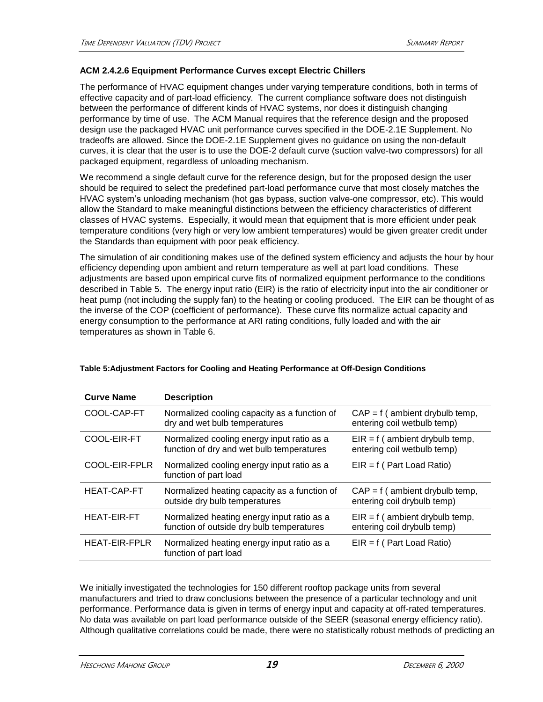### **ACM 2.4.2.6 Equipment Performance Curves except Electric Chillers**

The performance of HVAC equipment changes under varying temperature conditions, both in terms of effective capacity and of part-load efficiency. The current compliance software does not distinguish between the performance of different kinds of HVAC systems, nor does it distinguish changing performance by time of use. The ACM Manual requires that the reference design and the proposed design use the packaged HVAC unit performance curves specified in the DOE-2.1E Supplement. No tradeoffs are allowed. Since the DOE-2.1E Supplement gives no guidance on using the non-default curves, it is clear that the user is to use the DOE-2 default curve (suction valve-two compressors) for all packaged equipment, regardless of unloading mechanism.

We recommend a single default curve for the reference design, but for the proposed design the user should be required to select the predefined part-load performance curve that most closely matches the HVAC system's unloading mechanism (hot gas bypass, suction valve-one compressor, etc). This would allow the Standard to make meaningful distinctions between the efficiency characteristics of different classes of HVAC systems. Especially, it would mean that equipment that is more efficient under peak temperature conditions (very high or very low ambient temperatures) would be given greater credit under the Standards than equipment with poor peak efficiency.

The simulation of air conditioning makes use of the defined system efficiency and adjusts the hour by hour efficiency depending upon ambient and return temperature as well at part load conditions. These adjustments are based upon empirical curve fits of normalized equipment performance to the conditions described in Table 5. The energy input ratio (EIR) is the ratio of electricity input into the air conditioner or heat pump (not including the supply fan) to the heating or cooling produced. The EIR can be thought of as the inverse of the COP (coefficient of performance). These curve fits normalize actual capacity and energy consumption to the performance at ARI rating conditions, fully loaded and with the air temperatures as shown in Table 6.

| <b>Curve Name</b>    | <b>Description</b>                                                                      |                                                                 |
|----------------------|-----------------------------------------------------------------------------------------|-----------------------------------------------------------------|
| COOL-CAP-FT          | Normalized cooling capacity as a function of<br>dry and wet bulb temperatures           | $CAP = f$ (ambient drybulb temp,<br>entering coil wetbulb temp) |
| COOL-EIR-FT          | Normalized cooling energy input ratio as a<br>function of dry and wet bulb temperatures | $EIR = f$ (ambient drybulb temp,<br>entering coil wetbulb temp) |
| COOL-EIR-FPLR        | Normalized cooling energy input ratio as a<br>function of part load                     | $EIR = f$ (Part Load Ratio)                                     |
| <b>HEAT-CAP-FT</b>   | Normalized heating capacity as a function of<br>outside dry bulb temperatures           | $CAP = f$ (ambient drybulb temp,<br>entering coil drybulb temp) |
| <b>HEAT-EIR-FT</b>   | Normalized heating energy input ratio as a<br>function of outside dry bulb temperatures | $EIR = f$ (ambient drybulb temp,<br>entering coil drybulb temp) |
| <b>HEAT-EIR-FPLR</b> | Normalized heating energy input ratio as a<br>function of part load                     | $EIR = f$ (Part Load Ratio)                                     |
|                      |                                                                                         |                                                                 |

### **Table 5:Adjustment Factors for Cooling and Heating Performance at Off-Design Conditions**

We initially investigated the technologies for 150 different rooftop package units from several manufacturers and tried to draw conclusions between the presence of a particular technology and unit performance. Performance data is given in terms of energy input and capacity at off-rated temperatures. No data was available on part load performance outside of the SEER (seasonal energy efficiency ratio). Although qualitative correlations could be made, there were no statistically robust methods of predicting an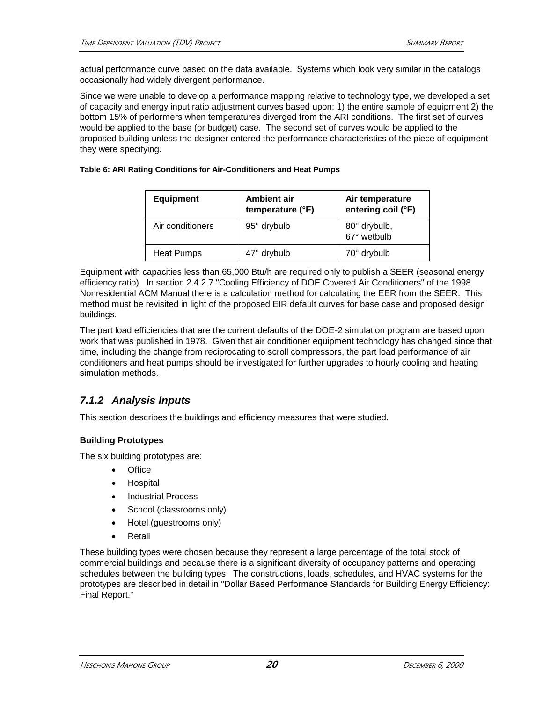actual performance curve based on the data available. Systems which look very similar in the catalogs occasionally had widely divergent performance.

Since we were unable to develop a performance mapping relative to technology type, we developed a set of capacity and energy input ratio adjustment curves based upon: 1) the entire sample of equipment 2) the bottom 15% of performers when temperatures diverged from the ARI conditions. The first set of curves would be applied to the base (or budget) case. The second set of curves would be applied to the proposed building unless the designer entered the performance characteristics of the piece of equipment they were specifying.

#### **Table 6: ARI Rating Conditions for Air-Conditioners and Heat Pumps**

| <b>Equipment</b>  | <b>Ambient air</b><br>temperature (°F) | Air temperature<br>entering coil (°F) |
|-------------------|----------------------------------------|---------------------------------------|
| Air conditioners  | 95° drybulb                            | 80° drybulb,<br>67° wetbulb           |
| <b>Heat Pumps</b> | 47° drybulb                            | 70° drybulb                           |

Equipment with capacities less than 65,000 Btu/h are required only to publish a SEER (seasonal energy efficiency ratio). In section 2.4.2.7 "Cooling Efficiency of DOE Covered Air Conditioners" of the 1998 Nonresidential ACM Manual there is a calculation method for calculating the EER from the SEER. This method must be revisited in light of the proposed EIR default curves for base case and proposed design buildings.

The part load efficiencies that are the current defaults of the DOE-2 simulation program are based upon work that was published in 1978. Given that air conditioner equipment technology has changed since that time, including the change from reciprocating to scroll compressors, the part load performance of air conditioners and heat pumps should be investigated for further upgrades to hourly cooling and heating simulation methods.

### *7.1.2 Analysis Inputs*

This section describes the buildings and efficiency measures that were studied.

### **Building Prototypes**

The six building prototypes are:

- Office
- Hospital
- Industrial Process
- School (classrooms only)
- Hotel (guestrooms only)
- Retail

These building types were chosen because they represent a large percentage of the total stock of commercial buildings and because there is a significant diversity of occupancy patterns and operating schedules between the building types. The constructions, loads, schedules, and HVAC systems for the prototypes are described in detail in "Dollar Based Performance Standards for Building Energy Efficiency: Final Report."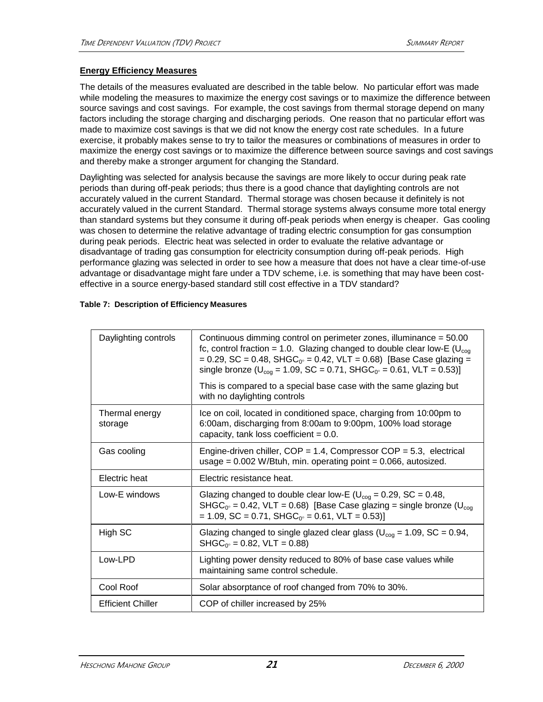### **Energy Efficiency Measures**

The details of the measures evaluated are described in the table below. No particular effort was made while modeling the measures to maximize the energy cost savings or to maximize the difference between source savings and cost savings. For example, the cost savings from thermal storage depend on many factors including the storage charging and discharging periods. One reason that no particular effort was made to maximize cost savings is that we did not know the energy cost rate schedules. In a future exercise, it probably makes sense to try to tailor the measures or combinations of measures in order to maximize the energy cost savings or to maximize the difference between source savings and cost savings and thereby make a stronger argument for changing the Standard.

Daylighting was selected for analysis because the savings are more likely to occur during peak rate periods than during off-peak periods; thus there is a good chance that daylighting controls are not accurately valued in the current Standard. Thermal storage was chosen because it definitely is not accurately valued in the current Standard. Thermal storage systems always consume more total energy than standard systems but they consume it during off-peak periods when energy is cheaper. Gas cooling was chosen to determine the relative advantage of trading electric consumption for gas consumption during peak periods. Electric heat was selected in order to evaluate the relative advantage or disadvantage of trading gas consumption for electricity consumption during off-peak periods. High performance glazing was selected in order to see how a measure that does not have a clear time-of-use advantage or disadvantage might fare under a TDV scheme, i.e. is something that may have been costeffective in a source energy-based standard still cost effective in a TDV standard?

| Daylighting controls      | Continuous dimming control on perimeter zones, illuminance = 50.00<br>fc, control fraction = 1.0. Glazing changed to double clear low-E ( $U_{\text{coq}}$<br>= 0.29, SC = 0.48, SHGC <sub>0</sub> = 0.42, VLT = 0.68) [Base Case glazing =<br>single bronze ( $U_{\text{cog}}$ = 1.09, SC = 0.71, SHGC <sub>0</sub> = 0.61, VLT = 0.53)]<br>This is compared to a special base case with the same glazing but |
|---------------------------|----------------------------------------------------------------------------------------------------------------------------------------------------------------------------------------------------------------------------------------------------------------------------------------------------------------------------------------------------------------------------------------------------------------|
|                           | with no daylighting controls                                                                                                                                                                                                                                                                                                                                                                                   |
| Thermal energy<br>storage | Ice on coil, located in conditioned space, charging from 10:00pm to<br>6:00am, discharging from 8:00am to 9:00pm, 100% load storage<br>capacity, tank loss coefficient $= 0.0$ .                                                                                                                                                                                                                               |
| Gas cooling               | Engine-driven chiller, $COP = 1.4$ , Compressor $COP = 5.3$ , electrical<br>usage = $0.002$ W/Btuh, min. operating point = $0.066$ , autosized.                                                                                                                                                                                                                                                                |
| Electric heat             | Electric resistance heat.                                                                                                                                                                                                                                                                                                                                                                                      |
|                           |                                                                                                                                                                                                                                                                                                                                                                                                                |
| Low-E windows             | Glazing changed to double clear low-E ( $U_{\text{coq}} = 0.29$ , SC = 0.48,<br>$SHGC_{0^\circ} = 0.42$ , VLT = 0.68) [Base Case glazing = single bronze (U <sub>cog</sub><br>$= 1.09$ , SC = 0.71, SHGC <sub>0</sub> $\circ$ = 0.61, VLT = 0.53)]                                                                                                                                                             |
| High SC                   | Glazing changed to single glazed clear glass ( $U_{\text{coq}}$ = 1.09, SC = 0.94,<br>$SHGC0° = 0.82$ , VLT = 0.88)                                                                                                                                                                                                                                                                                            |
| Low-LPD                   | Lighting power density reduced to 80% of base case values while<br>maintaining same control schedule.                                                                                                                                                                                                                                                                                                          |
| Cool Roof                 | Solar absorptance of roof changed from 70% to 30%.                                                                                                                                                                                                                                                                                                                                                             |

#### **Table 7: Description of Efficiency Measures**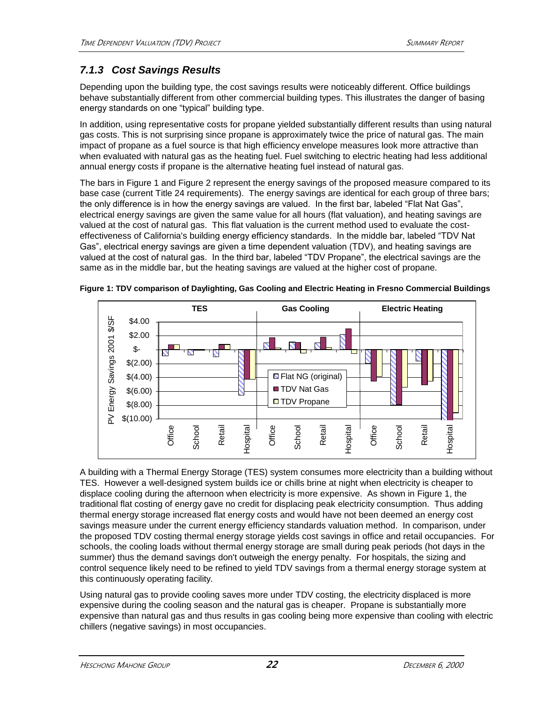### *7.1.3 Cost Savings Results*

Depending upon the building type, the cost savings results were noticeably different. Office buildings behave substantially different from other commercial building types. This illustrates the danger of basing energy standards on one "typical" building type.

In addition, using representative costs for propane yielded substantially different results than using natural gas costs. This is not surprising since propane is approximately twice the price of natural gas. The main impact of propane as a fuel source is that high efficiency envelope measures look more attractive than when evaluated with natural gas as the heating fuel. Fuel switching to electric heating had less additional annual energy costs if propane is the alternative heating fuel instead of natural gas.

The bars in Figure 1 and Figure 2 represent the energy savings of the proposed measure compared to its base case (current Title 24 requirements). The energy savings are identical for each group of three bars; the only difference is in how the energy savings are valued. In the first bar, labeled "Flat Nat Gas", electrical energy savings are given the same value for all hours (flat valuation), and heating savings are valued at the cost of natural gas. This flat valuation is the current method used to evaluate the costeffectiveness of California's building energy efficiency standards. In the middle bar, labeled "TDV Nat Gas", electrical energy savings are given a time dependent valuation (TDV), and heating savings are valued at the cost of natural gas. In the third bar, labeled "TDV Propane", the electrical savings are the same as in the middle bar, but the heating savings are valued at the higher cost of propane.



**Figure 1: TDV comparison of Daylighting, Gas Cooling and Electric Heating in Fresno Commercial Buildings**

A building with a Thermal Energy Storage (TES) system consumes more electricity than a building without TES. However a well-designed system builds ice or chills brine at night when electricity is cheaper to displace cooling during the afternoon when electricity is more expensive. As shown in Figure 1, the traditional flat costing of energy gave no credit for displacing peak electricity consumption. Thus adding thermal energy storage increased flat energy costs and would have not been deemed an energy cost savings measure under the current energy efficiency standards valuation method. In comparison, under the proposed TDV costing thermal energy storage yields cost savings in office and retail occupancies. For schools, the cooling loads without thermal energy storage are small during peak periods (hot days in the summer) thus the demand savings don't outweigh the energy penalty. For hospitals, the sizing and control sequence likely need to be refined to yield TDV savings from a thermal energy storage system at this continuously operating facility.

Using natural gas to provide cooling saves more under TDV costing, the electricity displaced is more expensive during the cooling season and the natural gas is cheaper. Propane is substantially more expensive than natural gas and thus results in gas cooling being more expensive than cooling with electric chillers (negative savings) in most occupancies.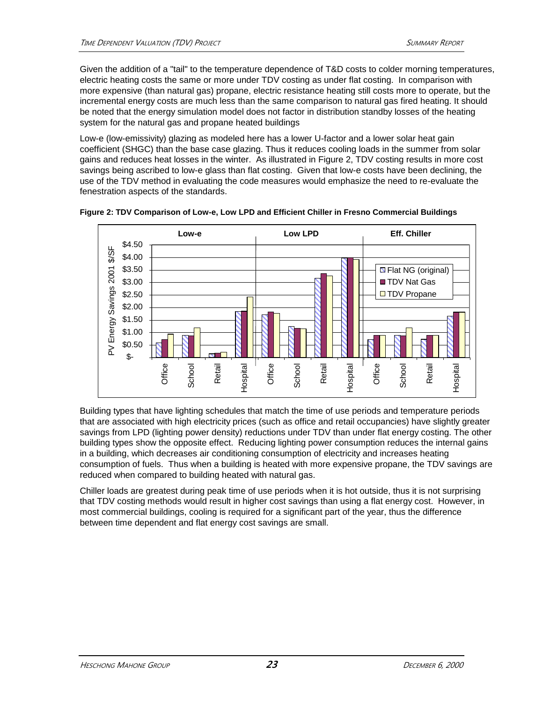Given the addition of a "tail" to the temperature dependence of T&D costs to colder morning temperatures, electric heating costs the same or more under TDV costing as under flat costing. In comparison with more expensive (than natural gas) propane, electric resistance heating still costs more to operate, but the incremental energy costs are much less than the same comparison to natural gas fired heating. It should be noted that the energy simulation model does not factor in distribution standby losses of the heating system for the natural gas and propane heated buildings

Low-e (low-emissivity) glazing as modeled here has a lower U-factor and a lower solar heat gain coefficient (SHGC) than the base case glazing. Thus it reduces cooling loads in the summer from solar gains and reduces heat losses in the winter. As illustrated in Figure 2, TDV costing results in more cost savings being ascribed to low-e glass than flat costing. Given that low-e costs have been declining, the use of the TDV method in evaluating the code measures would emphasize the need to re-evaluate the fenestration aspects of the standards.





Building types that have lighting schedules that match the time of use periods and temperature periods that are associated with high electricity prices (such as office and retail occupancies) have slightly greater savings from LPD (lighting power density) reductions under TDV than under flat energy costing. The other building types show the opposite effect. Reducing lighting power consumption reduces the internal gains in a building, which decreases air conditioning consumption of electricity and increases heating consumption of fuels. Thus when a building is heated with more expensive propane, the TDV savings are reduced when compared to building heated with natural gas.

Chiller loads are greatest during peak time of use periods when it is hot outside, thus it is not surprising that TDV costing methods would result in higher cost savings than using a flat energy cost. However, in most commercial buildings, cooling is required for a significant part of the year, thus the difference between time dependent and flat energy cost savings are small.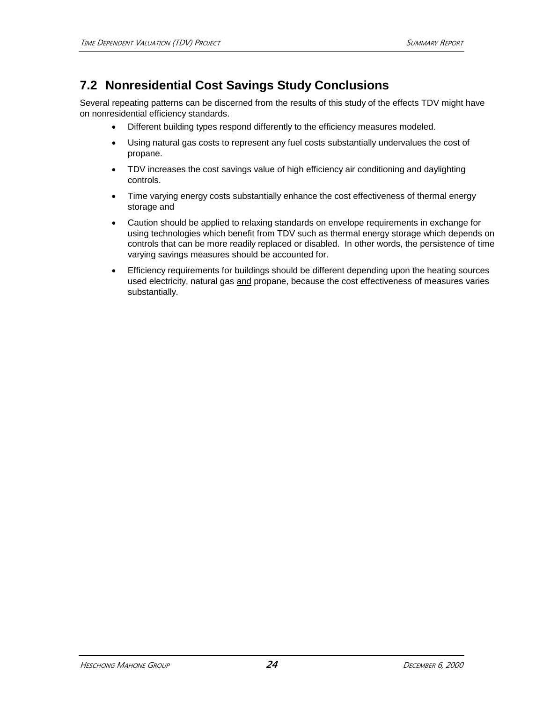# **7.2 Nonresidential Cost Savings Study Conclusions**

Several repeating patterns can be discerned from the results of this study of the effects TDV might have on nonresidential efficiency standards.

- Different building types respond differently to the efficiency measures modeled.
- Using natural gas costs to represent any fuel costs substantially undervalues the cost of propane.
- TDV increases the cost savings value of high efficiency air conditioning and daylighting controls.
- Time varying energy costs substantially enhance the cost effectiveness of thermal energy storage and
- Caution should be applied to relaxing standards on envelope requirements in exchange for using technologies which benefit from TDV such as thermal energy storage which depends on controls that can be more readily replaced or disabled. In other words, the persistence of time varying savings measures should be accounted for.
- Efficiency requirements for buildings should be different depending upon the heating sources used electricity, natural gas and propane, because the cost effectiveness of measures varies substantially.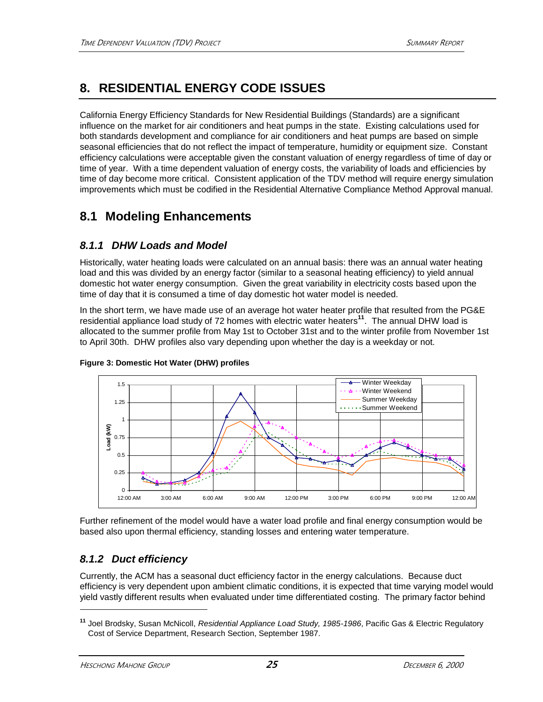# **8. RESIDENTIAL ENERGY CODE ISSUES**

California Energy Efficiency Standards for New Residential Buildings (Standards) are a significant influence on the market for air conditioners and heat pumps in the state. Existing calculations used for both standards development and compliance for air conditioners and heat pumps are based on simple seasonal efficiencies that do not reflect the impact of temperature, humidity or equipment size. Constant efficiency calculations were acceptable given the constant valuation of energy regardless of time of day or time of year. With a time dependent valuation of energy costs, the variability of loads and efficiencies by time of day become more critical. Consistent application of the TDV method will require energy simulation improvements which must be codified in the Residential Alternative Compliance Method Approval manual.

# **8.1 Modeling Enhancements**

### *8.1.1 DHW Loads and Model*

Historically, water heating loads were calculated on an annual basis: there was an annual water heating load and this was divided by an energy factor (similar to a seasonal heating efficiency) to yield annual domestic hot water energy consumption. Given the great variability in electricity costs based upon the time of day that it is consumed a time of day domestic hot water model is needed.

In the short term, we have made use of an average hot water heater profile that resulted from the PG&E residential appliance load study of 72 homes with electric water heaters**<sup>11</sup>**. The annual DHW load is allocated to the summer profile from May 1st to October 31st and to the winter profile from November 1st to April 30th. DHW profiles also vary depending upon whether the day is a weekday or not.



### **Figure 3: Domestic Hot Water (DHW) profiles**

Further refinement of the model would have a water load profile and final energy consumption would be based also upon thermal efficiency, standing losses and entering water temperature.

### *8.1.2 Duct efficiency*

Currently, the ACM has a seasonal duct efficiency factor in the energy calculations. Because duct efficiency is very dependent upon ambient climatic conditions, it is expected that time varying model would yield vastly different results when evaluated under time differentiated costing. The primary factor behind

**<sup>11</sup>** Joel Brodsky, Susan McNicoll, *Residential Appliance Load Study, 1985-1986*, Pacific Gas & Electric Regulatory Cost of Service Department, Research Section, September 1987.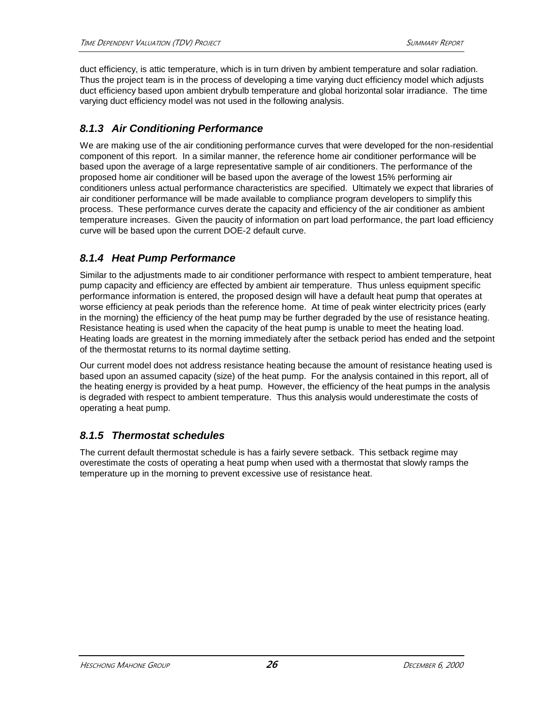duct efficiency, is attic temperature, which is in turn driven by ambient temperature and solar radiation. Thus the project team is in the process of developing a time varying duct efficiency model which adjusts duct efficiency based upon ambient drybulb temperature and global horizontal solar irradiance. The time varying duct efficiency model was not used in the following analysis.

### *8.1.3 Air Conditioning Performance*

We are making use of the air conditioning performance curves that were developed for the non-residential component of this report. In a similar manner, the reference home air conditioner performance will be based upon the average of a large representative sample of air conditioners. The performance of the proposed home air conditioner will be based upon the average of the lowest 15% performing air conditioners unless actual performance characteristics are specified. Ultimately we expect that libraries of air conditioner performance will be made available to compliance program developers to simplify this process. These performance curves derate the capacity and efficiency of the air conditioner as ambient temperature increases. Given the paucity of information on part load performance, the part load efficiency curve will be based upon the current DOE-2 default curve.

### *8.1.4 Heat Pump Performance*

Similar to the adjustments made to air conditioner performance with respect to ambient temperature, heat pump capacity and efficiency are effected by ambient air temperature. Thus unless equipment specific performance information is entered, the proposed design will have a default heat pump that operates at worse efficiency at peak periods than the reference home. At time of peak winter electricity prices (early in the morning) the efficiency of the heat pump may be further degraded by the use of resistance heating. Resistance heating is used when the capacity of the heat pump is unable to meet the heating load. Heating loads are greatest in the morning immediately after the setback period has ended and the setpoint of the thermostat returns to its normal daytime setting.

Our current model does not address resistance heating because the amount of resistance heating used is based upon an assumed capacity (size) of the heat pump. For the analysis contained in this report, all of the heating energy is provided by a heat pump. However, the efficiency of the heat pumps in the analysis is degraded with respect to ambient temperature. Thus this analysis would underestimate the costs of operating a heat pump.

### *8.1.5 Thermostat schedules*

The current default thermostat schedule is has a fairly severe setback. This setback regime may overestimate the costs of operating a heat pump when used with a thermostat that slowly ramps the temperature up in the morning to prevent excessive use of resistance heat.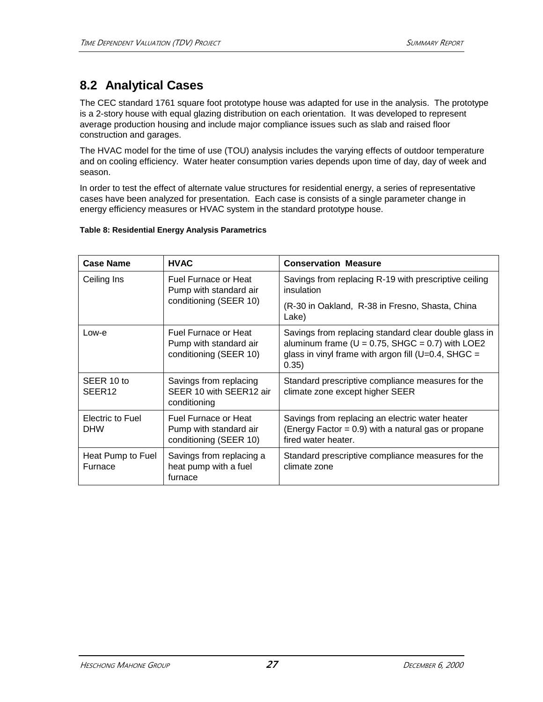# **8.2 Analytical Cases**

The CEC standard 1761 square foot prototype house was adapted for use in the analysis. The prototype is a 2-story house with equal glazing distribution on each orientation. It was developed to represent average production housing and include major compliance issues such as slab and raised floor construction and garages.

The HVAC model for the time of use (TOU) analysis includes the varying effects of outdoor temperature and on cooling efficiency. Water heater consumption varies depends upon time of day, day of week and season.

In order to test the effect of alternate value structures for residential energy, a series of representative cases have been analyzed for presentation. Each case is consists of a single parameter change in energy efficiency measures or HVAC system in the standard prototype house.

#### **Table 8: Residential Energy Analysis Parametrics**

| <b>Case Name</b>                 | <b>HVAC</b>                                                              | <b>Conservation Measure</b>                                                                                                                                                      |  |  |
|----------------------------------|--------------------------------------------------------------------------|----------------------------------------------------------------------------------------------------------------------------------------------------------------------------------|--|--|
| Ceiling Ins                      | Fuel Furnace or Heat<br>Pump with standard air                           | Savings from replacing R-19 with prescriptive ceiling<br>insulation                                                                                                              |  |  |
|                                  | conditioning (SEER 10)                                                   | (R-30 in Oakland, R-38 in Fresno, Shasta, China<br>Lake)                                                                                                                         |  |  |
| Low-e                            | Fuel Furnace or Heat<br>Pump with standard air<br>conditioning (SEER 10) | Savings from replacing standard clear double glass in<br>aluminum frame ( $U = 0.75$ , SHGC = 0.7) with LOE2<br>glass in vinyl frame with argon fill ( $U=0.4$ , SHGC =<br>0.35) |  |  |
| SEER 10 to<br>SEER <sub>12</sub> | Savings from replacing<br>SEER 10 with SEER12 air<br>conditioning        | Standard prescriptive compliance measures for the<br>climate zone except higher SEER                                                                                             |  |  |
| Electric to Fuel<br><b>DHW</b>   | Fuel Furnace or Heat<br>Pump with standard air<br>conditioning (SEER 10) | Savings from replacing an electric water heater<br>(Energy Factor = $0.9$ ) with a natural gas or propane<br>fired water heater.                                                 |  |  |
| Heat Pump to Fuel<br>Furnace     | Savings from replacing a<br>heat pump with a fuel<br>furnace             | Standard prescriptive compliance measures for the<br>climate zone                                                                                                                |  |  |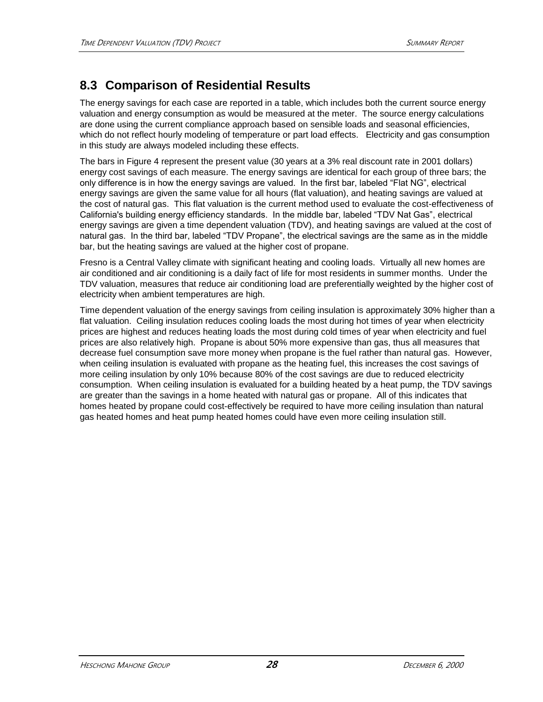# **8.3 Comparison of Residential Results**

The energy savings for each case are reported in a table, which includes both the current source energy valuation and energy consumption as would be measured at the meter. The source energy calculations are done using the current compliance approach based on sensible loads and seasonal efficiencies, which do not reflect hourly modeling of temperature or part load effects. Electricity and gas consumption in this study are always modeled including these effects.

The bars in Figure 4 represent the present value (30 years at a 3% real discount rate in 2001 dollars) energy cost savings of each measure. The energy savings are identical for each group of three bars; the only difference is in how the energy savings are valued. In the first bar, labeled "Flat NG", electrical energy savings are given the same value for all hours (flat valuation), and heating savings are valued at the cost of natural gas. This flat valuation is the current method used to evaluate the cost-effectiveness of California's building energy efficiency standards. In the middle bar, labeled "TDV Nat Gas", electrical energy savings are given a time dependent valuation (TDV), and heating savings are valued at the cost of natural gas. In the third bar, labeled "TDV Propane", the electrical savings are the same as in the middle bar, but the heating savings are valued at the higher cost of propane.

Fresno is a Central Valley climate with significant heating and cooling loads. Virtually all new homes are air conditioned and air conditioning is a daily fact of life for most residents in summer months. Under the TDV valuation, measures that reduce air conditioning load are preferentially weighted by the higher cost of electricity when ambient temperatures are high.

Time dependent valuation of the energy savings from ceiling insulation is approximately 30% higher than a flat valuation. Ceiling insulation reduces cooling loads the most during hot times of year when electricity prices are highest and reduces heating loads the most during cold times of year when electricity and fuel prices are also relatively high. Propane is about 50% more expensive than gas, thus all measures that decrease fuel consumption save more money when propane is the fuel rather than natural gas. However, when ceiling insulation is evaluated with propane as the heating fuel, this increases the cost savings of more ceiling insulation by only 10% because 80% of the cost savings are due to reduced electricity consumption. When ceiling insulation is evaluated for a building heated by a heat pump, the TDV savings are greater than the savings in a home heated with natural gas or propane. All of this indicates that homes heated by propane could cost-effectively be required to have more ceiling insulation than natural gas heated homes and heat pump heated homes could have even more ceiling insulation still.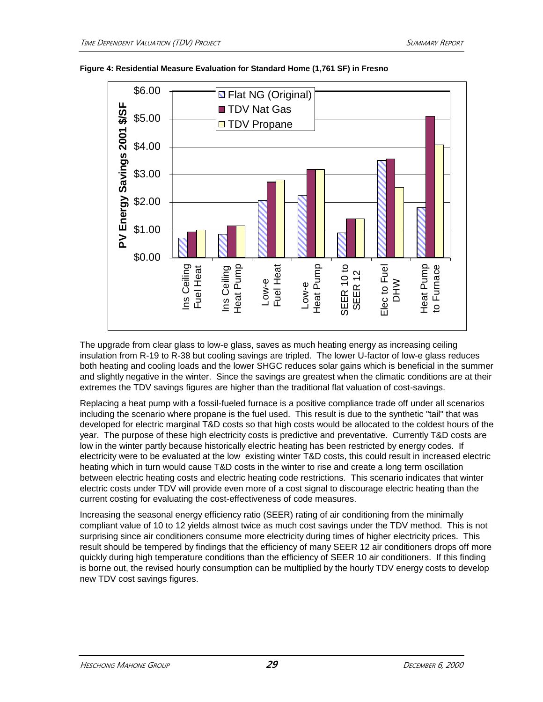



The upgrade from clear glass to low-e glass, saves as much heating energy as increasing ceiling insulation from R-19 to R-38 but cooling savings are tripled. The lower U-factor of low-e glass reduces both heating and cooling loads and the lower SHGC reduces solar gains which is beneficial in the summer and slightly negative in the winter. Since the savings are greatest when the climatic conditions are at their extremes the TDV savings figures are higher than the traditional flat valuation of cost-savings.

Replacing a heat pump with a fossil-fueled furnace is a positive compliance trade off under all scenarios including the scenario where propane is the fuel used. This result is due to the synthetic "tail" that was developed for electric marginal T&D costs so that high costs would be allocated to the coldest hours of the year. The purpose of these high electricity costs is predictive and preventative. Currently T&D costs are low in the winter partly because historically electric heating has been restricted by energy codes. If electricity were to be evaluated at the low existing winter T&D costs, this could result in increased electric heating which in turn would cause T&D costs in the winter to rise and create a long term oscillation between electric heating costs and electric heating code restrictions. This scenario indicates that winter electric costs under TDV will provide even more of a cost signal to discourage electric heating than the current costing for evaluating the cost-effectiveness of code measures.

Increasing the seasonal energy efficiency ratio (SEER) rating of air conditioning from the minimally compliant value of 10 to 12 yields almost twice as much cost savings under the TDV method. This is not surprising since air conditioners consume more electricity during times of higher electricity prices. This result should be tempered by findings that the efficiency of many SEER 12 air conditioners drops off more quickly during high temperature conditions than the efficiency of SEER 10 air conditioners. If this finding is borne out, the revised hourly consumption can be multiplied by the hourly TDV energy costs to develop new TDV cost savings figures.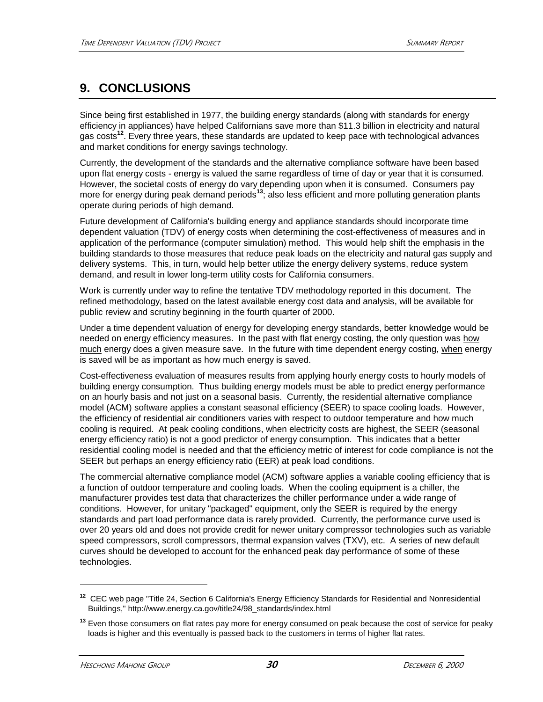# **9. CONCLUSIONS**

Since being first established in 1977, the building energy standards (along with standards for energy efficiency in appliances) have helped Californians save more than \$11.3 billion in electricity and natural gas costs**<sup>12</sup>**. Every three years, these standards are updated to keep pace with technological advances and market conditions for energy savings technology.

Currently, the development of the standards and the alternative compliance software have been based upon flat energy costs - energy is valued the same regardless of time of day or year that it is consumed. However, the societal costs of energy do vary depending upon when it is consumed. Consumers pay more for energy during peak demand periods**<sup>13</sup>**; also less efficient and more polluting generation plants operate during periods of high demand.

Future development of California's building energy and appliance standards should incorporate time dependent valuation (TDV) of energy costs when determining the cost-effectiveness of measures and in application of the performance (computer simulation) method. This would help shift the emphasis in the building standards to those measures that reduce peak loads on the electricity and natural gas supply and delivery systems. This, in turn, would help better utilize the energy delivery systems, reduce system demand, and result in lower long-term utility costs for California consumers.

Work is currently under way to refine the tentative TDV methodology reported in this document. The refined methodology, based on the latest available energy cost data and analysis, will be available for public review and scrutiny beginning in the fourth quarter of 2000.

Under a time dependent valuation of energy for developing energy standards, better knowledge would be needed on energy efficiency measures. In the past with flat energy costing, the only question was how much energy does a given measure save. In the future with time dependent energy costing, when energy is saved will be as important as how much energy is saved.

Cost-effectiveness evaluation of measures results from applying hourly energy costs to hourly models of building energy consumption. Thus building energy models must be able to predict energy performance on an hourly basis and not just on a seasonal basis. Currently, the residential alternative compliance model (ACM) software applies a constant seasonal efficiency (SEER) to space cooling loads. However, the efficiency of residential air conditioners varies with respect to outdoor temperature and how much cooling is required. At peak cooling conditions, when electricity costs are highest, the SEER (seasonal energy efficiency ratio) is not a good predictor of energy consumption. This indicates that a better residential cooling model is needed and that the efficiency metric of interest for code compliance is not the SEER but perhaps an energy efficiency ratio (EER) at peak load conditions.

The commercial alternative compliance model (ACM) software applies a variable cooling efficiency that is a function of outdoor temperature and cooling loads. When the cooling equipment is a chiller, the manufacturer provides test data that characterizes the chiller performance under a wide range of conditions. However, for unitary "packaged" equipment, only the SEER is required by the energy standards and part load performance data is rarely provided. Currently, the performance curve used is over 20 years old and does not provide credit for newer unitary compressor technologies such as variable speed compressors, scroll compressors, thermal expansion valves (TXV), etc. A series of new default curves should be developed to account for the enhanced peak day performance of some of these technologies.

**<sup>12</sup>** CEC web page "Title 24, Section 6 California's Energy Efficiency Standards for Residential and Nonresidential Buildings," http://www.energy.ca.gov/title24/98\_standards/index.html

**<sup>13</sup>** Even those consumers on flat rates pay more for energy consumed on peak because the cost of service for peaky loads is higher and this eventually is passed back to the customers in terms of higher flat rates.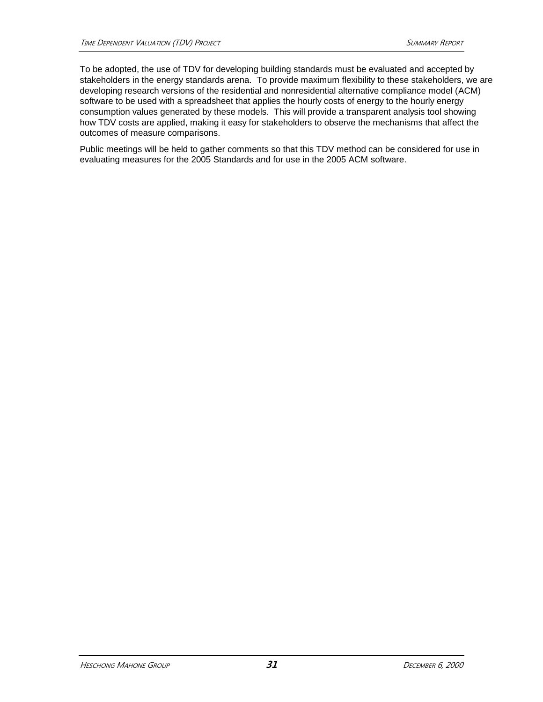To be adopted, the use of TDV for developing building standards must be evaluated and accepted by stakeholders in the energy standards arena. To provide maximum flexibility to these stakeholders, we are developing research versions of the residential and nonresidential alternative compliance model (ACM) software to be used with a spreadsheet that applies the hourly costs of energy to the hourly energy consumption values generated by these models. This will provide a transparent analysis tool showing how TDV costs are applied, making it easy for stakeholders to observe the mechanisms that affect the outcomes of measure comparisons.

Public meetings will be held to gather comments so that this TDV method can be considered for use in evaluating measures for the 2005 Standards and for use in the 2005 ACM software.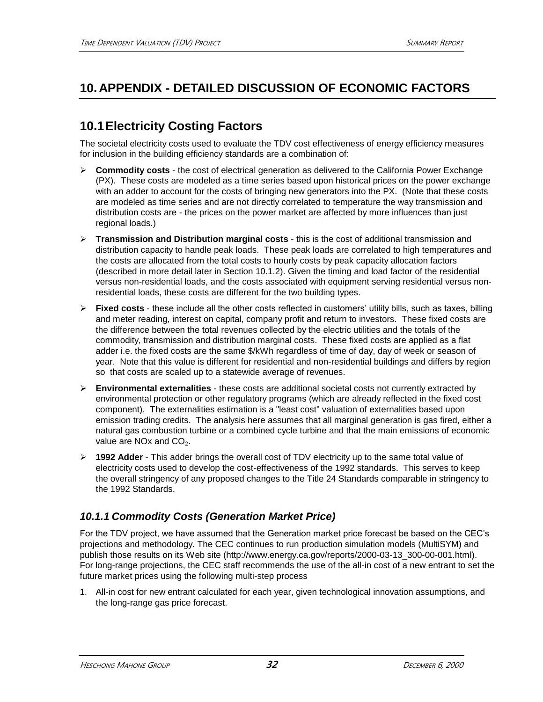# **10. APPENDIX - DETAILED DISCUSSION OF ECONOMIC FACTORS**

# **10.1Electricity Costing Factors**

The societal electricity costs used to evaluate the TDV cost effectiveness of energy efficiency measures for inclusion in the building efficiency standards are a combination of:

- **Commodity costs** the cost of electrical generation as delivered to the California Power Exchange (PX). These costs are modeled as a time series based upon historical prices on the power exchange with an adder to account for the costs of bringing new generators into the PX. (Note that these costs are modeled as time series and are not directly correlated to temperature the way transmission and distribution costs are - the prices on the power market are affected by more influences than just regional loads.)
- **Transmission and Distribution marginal costs** this is the cost of additional transmission and distribution capacity to handle peak loads. These peak loads are correlated to high temperatures and the costs are allocated from the total costs to hourly costs by peak capacity allocation factors (described in more detail later in Section 10.1.2). Given the timing and load factor of the residential versus non-residential loads, and the costs associated with equipment serving residential versus nonresidential loads, these costs are different for the two building types.
- **Fixed costs** these include all the other costs reflected in customers' utility bills, such as taxes, billing and meter reading, interest on capital, company profit and return to investors. These fixed costs are the difference between the total revenues collected by the electric utilities and the totals of the commodity, transmission and distribution marginal costs. These fixed costs are applied as a flat adder i.e. the fixed costs are the same \$/kWh regardless of time of day, day of week or season of year. Note that this value is different for residential and non-residential buildings and differs by region so that costs are scaled up to a statewide average of revenues.
- **Environmental externalities**  these costs are additional societal costs not currently extracted by environmental protection or other regulatory programs (which are already reflected in the fixed cost component). The externalities estimation is a "least cost" valuation of externalities based upon emission trading credits. The analysis here assumes that all marginal generation is gas fired, either a natural gas combustion turbine or a combined cycle turbine and that the main emissions of economic value are NOx and  $CO<sub>2</sub>$ .
- **1992 Adder**  This adder brings the overall cost of TDV electricity up to the same total value of electricity costs used to develop the cost-effectiveness of the 1992 standards. This serves to keep the overall stringency of any proposed changes to the Title 24 Standards comparable in stringency to the 1992 Standards.

### *10.1.1 Commodity Costs (Generation Market Price)*

For the TDV project, we have assumed that the Generation market price forecast be based on the CEC's projections and methodology. The CEC continues to run production simulation models (MultiSYM) and publish those results on its Web site (http://www.energy.ca.gov/reports/2000-03-13\_300-00-001.html). For long-range projections, the CEC staff recommends the use of the all-in cost of a new entrant to set the future market prices using the following multi-step process

1. All-in cost for new entrant calculated for each year, given technological innovation assumptions, and the long-range gas price forecast.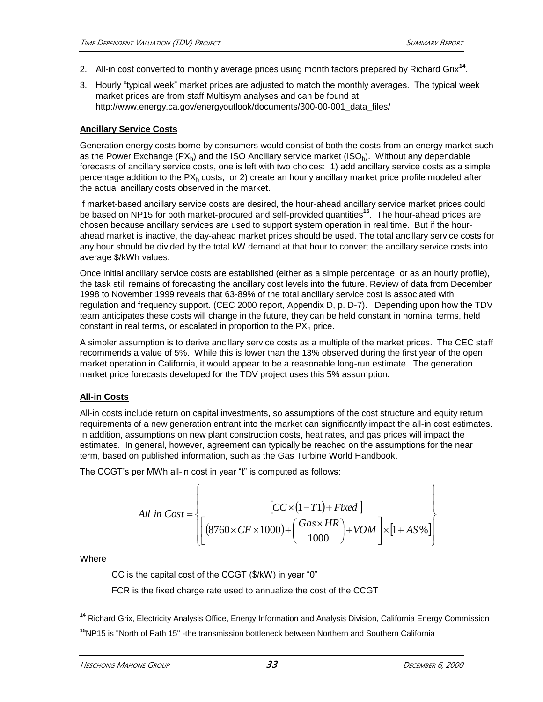- 2. All-in cost converted to monthly average prices using month factors prepared by Richard Grix**<sup>14</sup>** .
- 3. Hourly "typical week" market prices are adjusted to match the monthly averages. The typical week market prices are from staff Multisym analyses and can be found at http://www.energy.ca.gov/energyoutlook/documents/300-00-001\_data\_files/

### **Ancillary Service Costs**

Generation energy costs borne by consumers would consist of both the costs from an energy market such as the Power Exchange  $(PX_h)$  and the ISO Ancillary service market  $(ISO_h)$ . Without any dependable forecasts of ancillary service costs, one is left with two choices: 1) add ancillary service costs as a simple percentage addition to the  $PX<sub>h</sub>$  costs; or 2) create an hourly ancillary market price profile modeled after the actual ancillary costs observed in the market.

If market-based ancillary service costs are desired, the hour-ahead ancillary service market prices could be based on NP15 for both market-procured and self-provided quantities**<sup>15</sup>**. The hour-ahead prices are chosen because ancillary services are used to support system operation in real time. But if the hourahead market is inactive, the day-ahead market prices should be used. The total ancillary service costs for any hour should be divided by the total kW demand at that hour to convert the ancillary service costs into average \$/kWh values.

Once initial ancillary service costs are established (either as a simple percentage, or as an hourly profile), the task still remains of forecasting the ancillary cost levels into the future. Review of data from December 1998 to November 1999 reveals that 63-89% of the total ancillary service cost is associated with regulation and frequency support. (CEC 2000 report, Appendix D, p. D-7). Depending upon how the TDV team anticipates these costs will change in the future, they can be held constant in nominal terms, held constant in real terms, or escalated in proportion to the  $PX<sub>h</sub>$  price.

A simpler assumption is to derive ancillary service costs as a multiple of the market prices. The CEC staff recommends a value of 5%. While this is lower than the 13% observed during the first year of the open market operation in California, it would appear to be a reasonable long-run estimate. The generation market price forecasts developed for the TDV project uses this 5% assumption.

### **All-in Costs**

All-in costs include return on capital investments, so assumptions of the cost structure and equity return requirements of a new generation entrant into the market can significantly impact the all-in cost estimates. In addition, assumptions on new plant construction costs, heat rates, and gas prices will impact the estimates. In general, however, agreement can typically be reached on the assumptions for the near term, based on published information, such as the Gas Turbine World Handbook.

The CCGT's per MWh all-in cost in year "t" is computed as follows:

All in 
$$
Cost = \left\{ \frac{[CC \times (1 - T1) + Fixed]}{[(8760 \times CF \times 1000) + (\frac{Gas \times HR}{1000}) + VOM]} \times [1 + AS\%]\right\}
$$

**Where** 

l

CC is the capital cost of the CCGT (\$/kW) in year "0"

FCR is the fixed charge rate used to annualize the cost of the CCGT

**<sup>14</sup>** Richard Grix, Electricity Analysis Office, Energy Information and Analysis Division, California Energy Commission **<sup>15</sup>**NP15 is "North of Path 15" -the transmission bottleneck between Northern and Southern California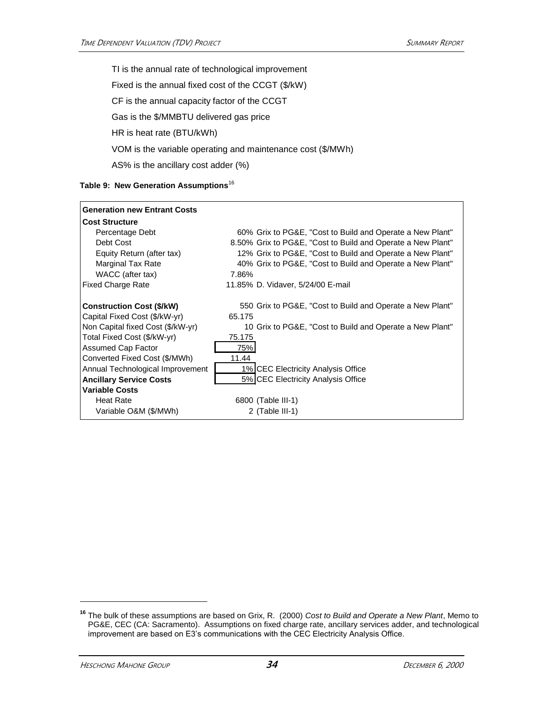TI is the annual rate of technological improvement Fixed is the annual fixed cost of the CCGT (\$/kW) CF is the annual capacity factor of the CCGT Gas is the \$/MMBTU delivered gas price HR is heat rate (BTU/kWh) VOM is the variable operating and maintenance cost (\$/MWh) AS% is the ancillary cost adder (%)

|  |  |  | Table 9: New Generation Assumptions <sup>16</sup> |
|--|--|--|---------------------------------------------------|
|--|--|--|---------------------------------------------------|

| <b>Generation new Entrant Costs</b> |                                                             |
|-------------------------------------|-------------------------------------------------------------|
| <b>Cost Structure</b>               |                                                             |
| Percentage Debt                     | 60% Grix to PG&E, "Cost to Build and Operate a New Plant"   |
| Debt Cost                           | 8.50% Grix to PG&E, "Cost to Build and Operate a New Plant" |
| Equity Return (after tax)           | 12% Grix to PG&E, "Cost to Build and Operate a New Plant"   |
| Marginal Tax Rate                   | 40% Grix to PG&E, "Cost to Build and Operate a New Plant"   |
| WACC (after tax)                    | 7.86%                                                       |
| <b>Fixed Charge Rate</b>            | 11.85% D. Vidaver, 5/24/00 E-mail                           |
|                                     |                                                             |
| <b>Construction Cost (\$/kW)</b>    | 550 Grix to PG&E, "Cost to Build and Operate a New Plant"   |
| Capital Fixed Cost (\$/kW-yr)       | 65.175                                                      |
| Non Capital fixed Cost (\$/kW-yr)   | 10 Grix to PG&E, "Cost to Build and Operate a New Plant"    |
| Total Fixed Cost (\$/kW-yr)         | 75.175                                                      |
| <b>Assumed Cap Factor</b>           | 75%                                                         |
| Converted Fixed Cost (\$/MWh)       | 11.44                                                       |
| Annual Technological Improvement    | 1% CEC Electricity Analysis Office                          |
| <b>Ancillary Service Costs</b>      | 5% CEC Electricity Analysis Office                          |
| <b>Variable Costs</b>               |                                                             |
| <b>Heat Rate</b>                    | 6800 (Table III-1)                                          |
| Variable O&M (\$/MWh)               | 2 (Table III-1)                                             |

**<sup>16</sup>** The bulk of these assumptions are based on Grix, R. (2000) *Cost to Build and Operate a New Plant*, Memo to PG&E, CEC (CA: Sacramento). Assumptions on fixed charge rate, ancillary services adder, and technological improvement are based on E3's communications with the CEC Electricity Analysis Office.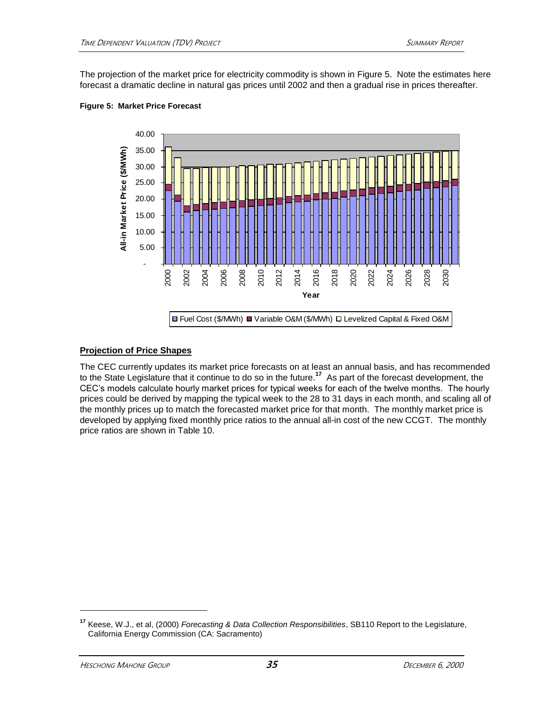The projection of the market price for electricity commodity is shown in Figure 5. Note the estimates here forecast a dramatic decline in natural gas prices until 2002 and then a gradual rise in prices thereafter.



#### **Figure 5: Market Price Forecast**

### **Projection of Price Shapes**

The CEC currently updates its market price forecasts on at least an annual basis, and has recommended to the State Legislature that it continue to do so in the future.**<sup>17</sup>** As part of the forecast development, the CEC's models calculate hourly market prices for typical weeks for each of the twelve months. The hourly prices could be derived by mapping the typical week to the 28 to 31 days in each month, and scaling all of the monthly prices up to match the forecasted market price for that month. The monthly market price is developed by applying fixed monthly price ratios to the annual all-in cost of the new CCGT. The monthly price ratios are shown in Table 10.

**<sup>17</sup>** Keese, W.J., et al, (2000) *Forecasting & Data Collection Responsibilities*, SB110 Report to the Legislature, California Energy Commission (CA: Sacramento)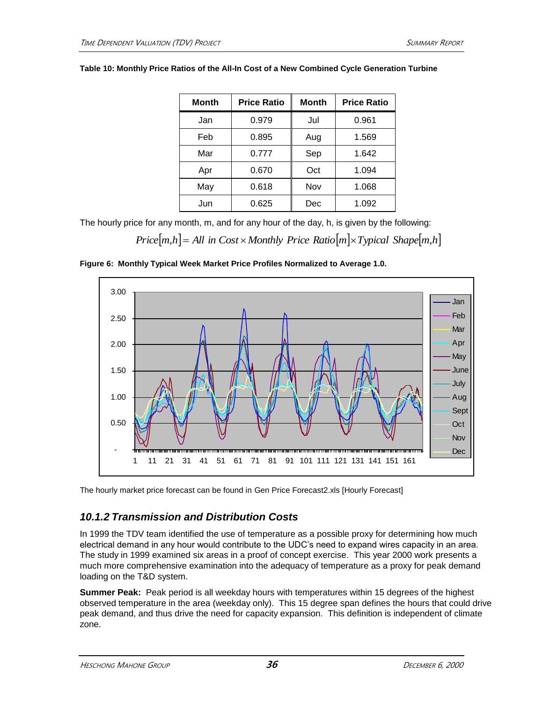| Month | <b>Price Ratio</b> | <b>Month</b> | <b>Price Ratio</b> |  |
|-------|--------------------|--------------|--------------------|--|
| Jan   | 0.979              | Jul          | 0.961              |  |
| Feb   | 0.895              | Aug          | 1.569              |  |
| Mar   | 0.777              | Sep          | 1.642              |  |
| Apr   | 0.670              | Oct          | 1.094              |  |
| May   | 0.618              | Nov          | 1.068              |  |
| Jun   | 0.625              | Dec          | 1.092              |  |

#### **Table 10: Monthly Price Ratios of the All-In Cost of a New Combined Cycle Generation Turbine**

The hourly price for any month, m, and for any hour of the day, h, is given by the following:

*Price* $[m,h] = All$  *in*  $Cost \times Monthly$  *Price*  $Ratio[m] \times Typical$  *Shape* $[m,h]$ 





The hourly market price forecast can be found in Gen Price Forecast2.xls [Hourly Forecast]

### *10.1.2 Transmission and Distribution Costs*

In 1999 the TDV team identified the use of temperature as a possible proxy for determining how much electrical demand in any hour would contribute to the UDC's need to expand wires capacity in an area. The study in 1999 examined six areas in a proof of concept exercise. This year 2000 work presents a much more comprehensive examination into the adequacy of temperature as a proxy for peak demand loading on the T&D system.

**Summer Peak:** Peak period is all weekday hours with temperatures within 15 degrees of the highest observed temperature in the area (weekday only). This 15 degree span defines the hours that could drive peak demand, and thus drive the need for capacity expansion. This definition is independent of climate zone.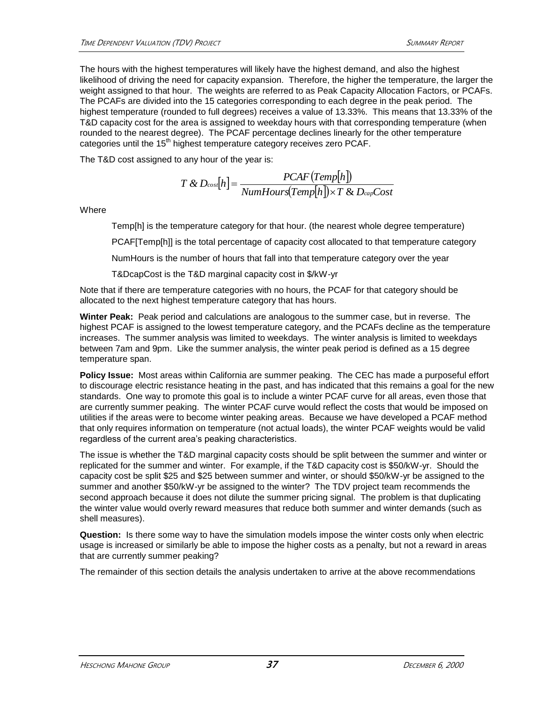The hours with the highest temperatures will likely have the highest demand, and also the highest likelihood of driving the need for capacity expansion. Therefore, the higher the temperature, the larger the weight assigned to that hour. The weights are referred to as Peak Capacity Allocation Factors, or PCAFs. The PCAFs are divided into the 15 categories corresponding to each degree in the peak period. The highest temperature (rounded to full degrees) receives a value of 13.33%. This means that 13.33% of the T&D capacity cost for the area is assigned to weekday hours with that corresponding temperature (when rounded to the nearest degree). The PCAF percentage declines linearly for the other temperature categories until the 15<sup>th</sup> highest temperature category receives zero PCAF.

The T&D cost assigned to any hour of the year is:

$$
T & D_{\text{cos}}[h] = \frac{PCAF(Temp[h])}{NumHours(Temp[h]) \times T & D_{\text{cap}}Cost}
$$

**Where** 

Temp[h] is the temperature category for that hour. (the nearest whole degree temperature)

PCAF[Temp[h]] is the total percentage of capacity cost allocated to that temperature category

NumHours is the number of hours that fall into that temperature category over the year

T&DcapCost is the T&D marginal capacity cost in \$/kW-yr

Note that if there are temperature categories with no hours, the PCAF for that category should be allocated to the next highest temperature category that has hours.

**Winter Peak:** Peak period and calculations are analogous to the summer case, but in reverse. The highest PCAF is assigned to the lowest temperature category, and the PCAFs decline as the temperature increases. The summer analysis was limited to weekdays. The winter analysis is limited to weekdays between 7am and 9pm. Like the summer analysis, the winter peak period is defined as a 15 degree temperature span.

**Policy Issue:** Most areas within California are summer peaking. The CEC has made a purposeful effort to discourage electric resistance heating in the past, and has indicated that this remains a goal for the new standards. One way to promote this goal is to include a winter PCAF curve for all areas, even those that are currently summer peaking. The winter PCAF curve would reflect the costs that would be imposed on utilities if the areas were to become winter peaking areas. Because we have developed a PCAF method that only requires information on temperature (not actual loads), the winter PCAF weights would be valid regardless of the current area's peaking characteristics.

The issue is whether the T&D marginal capacity costs should be split between the summer and winter or replicated for the summer and winter. For example, if the T&D capacity cost is \$50/kW-yr. Should the capacity cost be split \$25 and \$25 between summer and winter, or should \$50/kW-yr be assigned to the summer and another \$50/kW-yr be assigned to the winter? The TDV project team recommends the second approach because it does not dilute the summer pricing signal. The problem is that duplicating the winter value would overly reward measures that reduce both summer and winter demands (such as shell measures).

**Question:** Is there some way to have the simulation models impose the winter costs only when electric usage is increased or similarly be able to impose the higher costs as a penalty, but not a reward in areas that are currently summer peaking?

The remainder of this section details the analysis undertaken to arrive at the above recommendations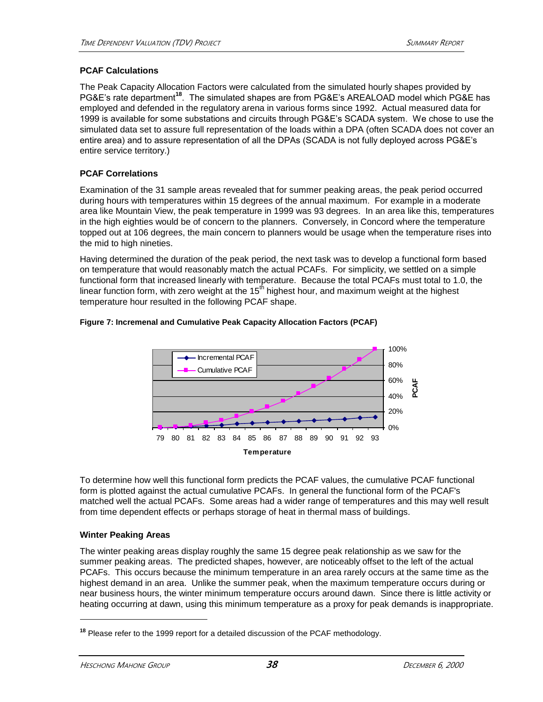### **PCAF Calculations**

The Peak Capacity Allocation Factors were calculated from the simulated hourly shapes provided by PG&E's rate department**<sup>18</sup>**. The simulated shapes are from PG&E's AREALOAD model which PG&E has employed and defended in the regulatory arena in various forms since 1992. Actual measured data for 1999 is available for some substations and circuits through PG&E's SCADA system. We chose to use the simulated data set to assure full representation of the loads within a DPA (often SCADA does not cover an entire area) and to assure representation of all the DPAs (SCADA is not fully deployed across PG&E's entire service territory.)

### **PCAF Correlations**

Examination of the 31 sample areas revealed that for summer peaking areas, the peak period occurred during hours with temperatures within 15 degrees of the annual maximum. For example in a moderate area like Mountain View, the peak temperature in 1999 was 93 degrees. In an area like this, temperatures in the high eighties would be of concern to the planners. Conversely, in Concord where the temperature topped out at 106 degrees, the main concern to planners would be usage when the temperature rises into the mid to high nineties.

Having determined the duration of the peak period, the next task was to develop a functional form based on temperature that would reasonably match the actual PCAFs. For simplicity, we settled on a simple functional form that increased linearly with temperature. Because the total PCAFs must total to 1.0, the linear function form, with zero weight at the  $15<sup>th</sup>$  highest hour, and maximum weight at the highest temperature hour resulted in the following PCAF shape.



#### **Figure 7: Incremenal and Cumulative Peak Capacity Allocation Factors (PCAF)**

To determine how well this functional form predicts the PCAF values, the cumulative PCAF functional form is plotted against the actual cumulative PCAFs. In general the functional form of the PCAF's matched well the actual PCAFs. Some areas had a wider range of temperatures and this may well result from time dependent effects or perhaps storage of heat in thermal mass of buildings.

### **Winter Peaking Areas**

The winter peaking areas display roughly the same 15 degree peak relationship as we saw for the summer peaking areas. The predicted shapes, however, are noticeably offset to the left of the actual PCAFs. This occurs because the minimum temperature in an area rarely occurs at the same time as the highest demand in an area. Unlike the summer peak, when the maximum temperature occurs during or near business hours, the winter minimum temperature occurs around dawn. Since there is little activity or heating occurring at dawn, using this minimum temperature as a proxy for peak demands is inappropriate.

**<sup>18</sup>** Please refer to the 1999 report for a detailed discussion of the PCAF methodology.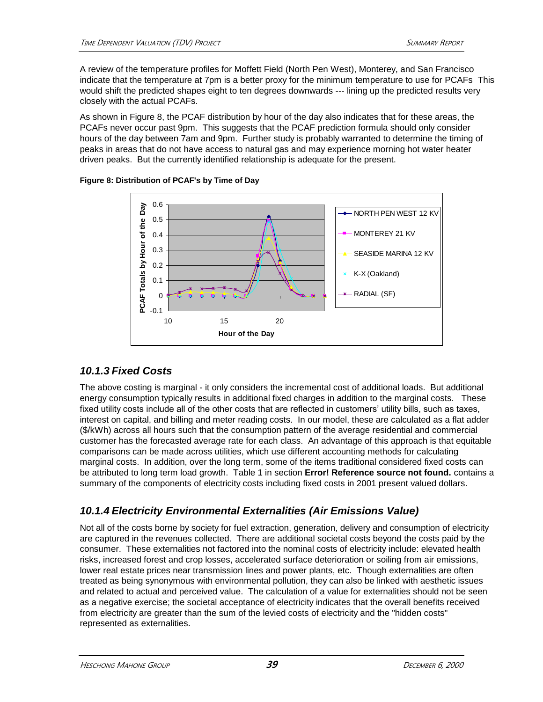A review of the temperature profiles for Moffett Field (North Pen West), Monterey, and San Francisco indicate that the temperature at 7pm is a better proxy for the minimum temperature to use for PCAFs This would shift the predicted shapes eight to ten degrees downwards --- lining up the predicted results very closely with the actual PCAFs.

As shown in Figure 8, the PCAF distribution by hour of the day also indicates that for these areas, the PCAFs never occur past 9pm. This suggests that the PCAF prediction formula should only consider hours of the day between 7am and 9pm. Further study is probably warranted to determine the timing of peaks in areas that do not have access to natural gas and may experience morning hot water heater driven peaks. But the currently identified relationship is adequate for the present.



### **Figure 8: Distribution of PCAF's by Time of Day**

### *10.1.3 Fixed Costs*

The above costing is marginal - it only considers the incremental cost of additional loads. But additional energy consumption typically results in additional fixed charges in addition to the marginal costs. These fixed utility costs include all of the other costs that are reflected in customers' utility bills, such as taxes, interest on capital, and billing and meter reading costs. In our model, these are calculated as a flat adder (\$/kWh) across all hours such that the consumption pattern of the average residential and commercial customer has the forecasted average rate for each class. An advantage of this approach is that equitable comparisons can be made across utilities, which use different accounting methods for calculating marginal costs. In addition, over the long term, some of the items traditional considered fixed costs can be attributed to long term load growth. Table 1 in section **Error! Reference source not found.** contains a summary of the components of electricity costs including fixed costs in 2001 present valued dollars.

### <span id="page-43-0"></span>*10.1.4 Electricity Environmental Externalities (Air Emissions Value)*

Not all of the costs borne by society for fuel extraction, generation, delivery and consumption of electricity are captured in the revenues collected. There are additional societal costs beyond the costs paid by the consumer. These externalities not factored into the nominal costs of electricity include: elevated health risks, increased forest and crop losses, accelerated surface deterioration or soiling from air emissions, lower real estate prices near transmission lines and power plants, etc. Though externalities are often treated as being synonymous with environmental pollution, they can also be linked with aesthetic issues and related to actual and perceived value. The calculation of a value for externalities should not be seen as a negative exercise; the societal acceptance of electricity indicates that the overall benefits received from electricity are greater than the sum of the levied costs of electricity and the "hidden costs" represented as externalities.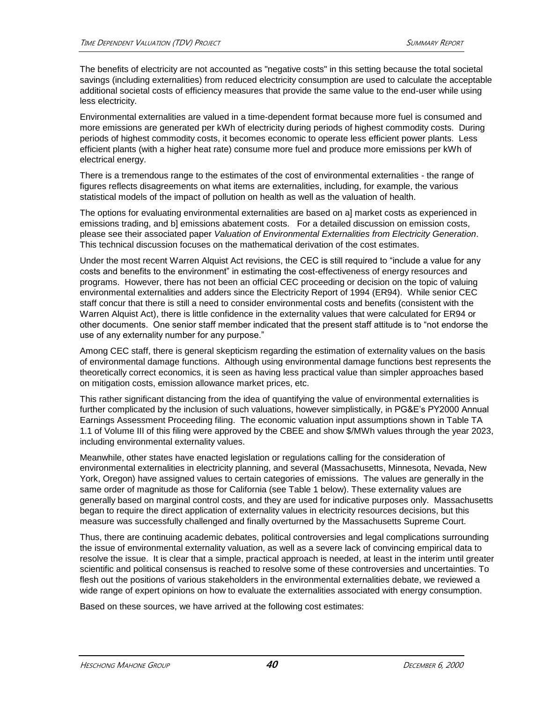The benefits of electricity are not accounted as "negative costs" in this setting because the total societal savings (including externalities) from reduced electricity consumption are used to calculate the acceptable additional societal costs of efficiency measures that provide the same value to the end-user while using less electricity.

Environmental externalities are valued in a time-dependent format because more fuel is consumed and more emissions are generated per kWh of electricity during periods of highest commodity costs. During periods of highest commodity costs, it becomes economic to operate less efficient power plants. Less efficient plants (with a higher heat rate) consume more fuel and produce more emissions per kWh of electrical energy.

There is a tremendous range to the estimates of the cost of environmental externalities - the range of figures reflects disagreements on what items are externalities, including, for example, the various statistical models of the impact of pollution on health as well as the valuation of health.

The options for evaluating environmental externalities are based on a] market costs as experienced in emissions trading, and b] emissions abatement costs. For a detailed discussion on emission costs, please see their associated paper *Valuation of Environmental Externalities from Electricity Generation*. This technical discussion focuses on the mathematical derivation of the cost estimates.

Under the most recent Warren Alquist Act revisions, the CEC is still required to "include a value for any costs and benefits to the environment" in estimating the cost-effectiveness of energy resources and programs. However, there has not been an official CEC proceeding or decision on the topic of valuing environmental externalities and adders since the Electricity Report of 1994 (ER94). While senior CEC staff concur that there is still a need to consider environmental costs and benefits (consistent with the Warren Alquist Act), there is little confidence in the externality values that were calculated for ER94 or other documents. One senior staff member indicated that the present staff attitude is to "not endorse the use of any externality number for any purpose."

Among CEC staff, there is general skepticism regarding the estimation of externality values on the basis of environmental damage functions. Although using environmental damage functions best represents the theoretically correct economics, it is seen as having less practical value than simpler approaches based on mitigation costs, emission allowance market prices, etc.

This rather significant distancing from the idea of quantifying the value of environmental externalities is further complicated by the inclusion of such valuations, however simplistically, in PG&E's PY2000 Annual Earnings Assessment Proceeding filing. The economic valuation input assumptions shown in Table TA 1.1 of Volume III of this filing were approved by the CBEE and show \$/MWh values through the year 2023, including environmental externality values.

Meanwhile, other states have enacted legislation or regulations calling for the consideration of environmental externalities in electricity planning, and several (Massachusetts, Minnesota, Nevada, New York, Oregon) have assigned values to certain categories of emissions. The values are generally in the same order of magnitude as those for California (see Table 1 below). These externality values are generally based on marginal control costs, and they are used for indicative purposes only. Massachusetts began to require the direct application of externality values in electricity resources decisions, but this measure was successfully challenged and finally overturned by the Massachusetts Supreme Court.

Thus, there are continuing academic debates, political controversies and legal complications surrounding the issue of environmental externality valuation, as well as a severe lack of convincing empirical data to resolve the issue. It is clear that a simple, practical approach is needed, at least in the interim until greater scientific and political consensus is reached to resolve some of these controversies and uncertainties. To flesh out the positions of various stakeholders in the environmental externalities debate, we reviewed a wide range of expert opinions on how to evaluate the externalities associated with energy consumption.

Based on these sources, we have arrived at the following cost estimates: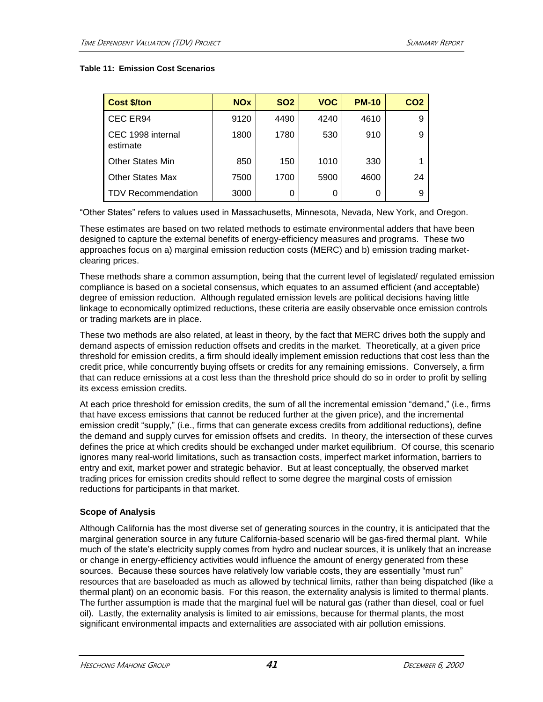#### **Table 11: Emission Cost Scenarios**

| <b>Cost \$/ton</b>            | <b>NO<sub>x</sub></b> | <b>SO2</b> | <b>VOC</b> | <b>PM-10</b> | CO <sub>2</sub> |
|-------------------------------|-----------------------|------------|------------|--------------|-----------------|
| CEC ER94                      | 9120                  | 4490       | 4240       | 4610         | 9               |
| CEC 1998 internal<br>estimate | 1800                  | 1780       | 530        | 910          | 9               |
| <b>Other States Min</b>       | 850                   | 150        | 1010       | 330          | 1               |
| <b>Other States Max</b>       | 7500                  | 1700       | 5900       | 4600         | 24              |
| <b>TDV Recommendation</b>     | 3000                  |            | 0          | 0            | 9               |

"Other States" refers to values used in Massachusetts, Minnesota, Nevada, New York, and Oregon.

These estimates are based on two related methods to estimate environmental adders that have been designed to capture the external benefits of energy-efficiency measures and programs. These two approaches focus on a) marginal emission reduction costs (MERC) and b) emission trading marketclearing prices.

These methods share a common assumption, being that the current level of legislated/ regulated emission compliance is based on a societal consensus, which equates to an assumed efficient (and acceptable) degree of emission reduction. Although regulated emission levels are political decisions having little linkage to economically optimized reductions, these criteria are easily observable once emission controls or trading markets are in place.

These two methods are also related, at least in theory, by the fact that MERC drives both the supply and demand aspects of emission reduction offsets and credits in the market. Theoretically, at a given price threshold for emission credits, a firm should ideally implement emission reductions that cost less than the credit price, while concurrently buying offsets or credits for any remaining emissions. Conversely, a firm that can reduce emissions at a cost less than the threshold price should do so in order to profit by selling its excess emission credits.

At each price threshold for emission credits, the sum of all the incremental emission "demand," (i.e., firms that have excess emissions that cannot be reduced further at the given price), and the incremental emission credit "supply," (i.e., firms that can generate excess credits from additional reductions), define the demand and supply curves for emission offsets and credits. In theory, the intersection of these curves defines the price at which credits should be exchanged under market equilibrium. Of course, this scenario ignores many real-world limitations, such as transaction costs, imperfect market information, barriers to entry and exit, market power and strategic behavior. But at least conceptually, the observed market trading prices for emission credits should reflect to some degree the marginal costs of emission reductions for participants in that market.

### **Scope of Analysis**

Although California has the most diverse set of generating sources in the country, it is anticipated that the marginal generation source in any future California-based scenario will be gas-fired thermal plant. While much of the state's electricity supply comes from hydro and nuclear sources, it is unlikely that an increase or change in energy-efficiency activities would influence the amount of energy generated from these sources. Because these sources have relatively low variable costs, they are essentially "must run" resources that are baseloaded as much as allowed by technical limits, rather than being dispatched (like a thermal plant) on an economic basis. For this reason, the externality analysis is limited to thermal plants. The further assumption is made that the marginal fuel will be natural gas (rather than diesel, coal or fuel oil). Lastly, the externality analysis is limited to air emissions, because for thermal plants, the most significant environmental impacts and externalities are associated with air pollution emissions.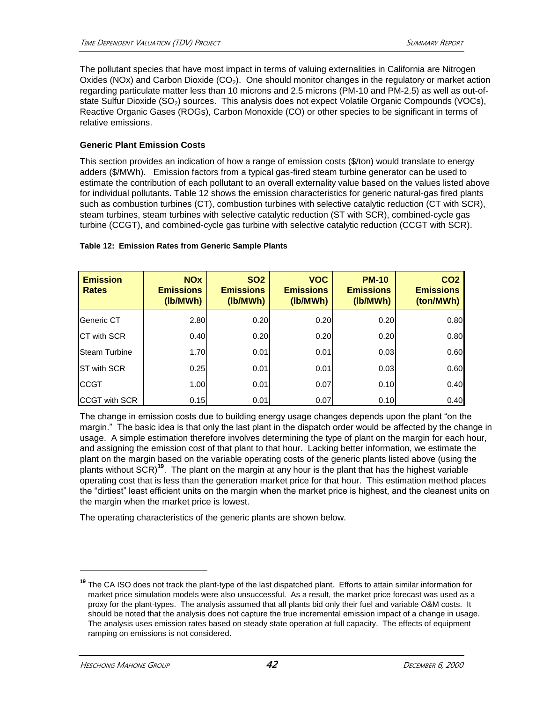The pollutant species that have most impact in terms of valuing externalities in California are Nitrogen Oxides (NOx) and Carbon Dioxide (CO<sub>2</sub>). One should monitor changes in the regulatory or market action regarding particulate matter less than 10 microns and 2.5 microns (PM-10 and PM-2.5) as well as out-ofstate Sulfur Dioxide  $(SO<sub>2</sub>)$  sources. This analysis does not expect Volatile Organic Compounds (VOCs), Reactive Organic Gases (ROGs), Carbon Monoxide (CO) or other species to be significant in terms of relative emissions.

### **Generic Plant Emission Costs**

This section provides an indication of how a range of emission costs (\$/ton) would translate to energy adders (\$/MWh). Emission factors from a typical gas-fired steam turbine generator can be used to estimate the contribution of each pollutant to an overall externality value based on the values listed above for individual pollutants. Table 12 shows the emission characteristics for generic natural-gas fired plants such as combustion turbines (CT), combustion turbines with selective catalytic reduction (CT with SCR), steam turbines, steam turbines with selective catalytic reduction (ST with SCR), combined-cycle gas turbine (CCGT), and combined-cycle gas turbine with selective catalytic reduction (CCGT with SCR).

#### **Table 12: Emission Rates from Generic Sample Plants**

| <b>Emission</b><br><b>Rates</b> | <b>NOx</b><br><b>Emissions</b><br>(lb/MWh) | <b>SO2</b><br><b>Emissions</b><br>(lb/MWh) | <b>VOC</b><br><b>Emissions</b><br>(lb/MWh) | <b>PM-10</b><br><b>Emissions</b><br>(lb/MWh) | CO <sub>2</sub><br><b>Emissions</b><br>(ton/MWh) |
|---------------------------------|--------------------------------------------|--------------------------------------------|--------------------------------------------|----------------------------------------------|--------------------------------------------------|
| Generic CT                      | 2.80                                       | 0.20                                       | 0.20                                       | 0.20                                         | 0.80                                             |
| <b>CT with SCR</b>              | 0.40                                       | 0.20                                       | 0.20                                       | 0.20                                         | 0.80                                             |
| <b>Steam Turbine</b>            | 1.70                                       | 0.01                                       | 0.01                                       | 0.03                                         | 0.60                                             |
| <b>IST with SCR</b>             | 0.25                                       | 0.01                                       | 0.01                                       | 0.03                                         | 0.60                                             |
| <b>CCGT</b>                     | 1.00                                       | 0.01                                       | 0.07                                       | 0.10                                         | 0.40                                             |
| <b>CCGT with SCR</b>            | 0.15                                       | 0.01                                       | 0.07                                       | 0.10                                         | 0.40                                             |

The change in emission costs due to building energy usage changes depends upon the plant "on the margin." The basic idea is that only the last plant in the dispatch order would be affected by the change in usage. A simple estimation therefore involves determining the type of plant on the margin for each hour, and assigning the emission cost of that plant to that hour. Lacking better information, we estimate the plant on the margin based on the variable operating costs of the generic plants listed above (using the plants without SCR)**<sup>19</sup>**. The plant on the margin at any hour is the plant that has the highest variable operating cost that is less than the generation market price for that hour. This estimation method places the "dirtiest" least efficient units on the margin when the market price is highest, and the cleanest units on the margin when the market price is lowest.

The operating characteristics of the generic plants are shown below.

**<sup>19</sup>** The CA ISO does not track the plant-type of the last dispatched plant. Efforts to attain similar information for market price simulation models were also unsuccessful. As a result, the market price forecast was used as a proxy for the plant-types. The analysis assumed that all plants bid only their fuel and variable O&M costs. It should be noted that the analysis does not capture the true incremental emission impact of a change in usage. The analysis uses emission rates based on steady state operation at full capacity. The effects of equipment ramping on emissions is not considered.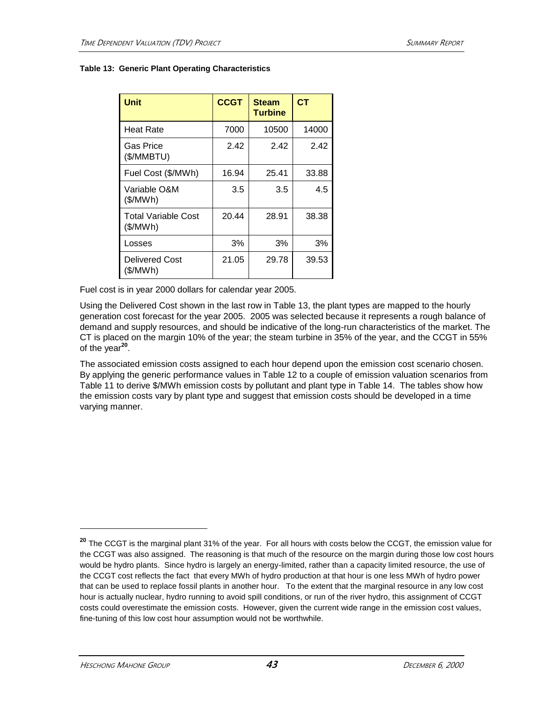#### **Table 13: Generic Plant Operating Characteristics**

| Unit                                   | <b>CCGT</b> | <b>Steam</b><br>Turbine | C <sub>T</sub> |
|----------------------------------------|-------------|-------------------------|----------------|
| Heat Rate                              | 7000        | 10500                   | 14000          |
| Gas Price<br>(\$/MMBTU)                | 2.42        | 2.42                    | 2.42           |
| Fuel Cost (\$/MWh)                     | 16.94       | 25.41                   | 33.88          |
| Variable O&M<br>(\$/MWh)               | 3.5         | 3.5                     | 4.5            |
| <b>Total Variable Cost</b><br>(\$/MWh) | 20.44       | 28.91                   | 38.38          |
| Losses                                 | 3%          | 3%                      | 3%             |
| Delivered Cost<br>(\$/MWh)             | 21.05       | 29.78                   | 39.53          |

Fuel cost is in year 2000 dollars for calendar year 2005.

Using the Delivered Cost shown in the last row in Table 13, the plant types are mapped to the hourly generation cost forecast for the year 2005. 2005 was selected because it represents a rough balance of demand and supply resources, and should be indicative of the long-run characteristics of the market. The CT is placed on the margin 10% of the year; the steam turbine in 35% of the year, and the CCGT in 55% of the year**<sup>20</sup>** .

The associated emission costs assigned to each hour depend upon the emission cost scenario chosen. By applying the generic performance values in Table 12 to a couple of emission valuation scenarios from Table 11 to derive \$/MWh emission costs by pollutant and plant type in Table 14. The tables show how the emission costs vary by plant type and suggest that emission costs should be developed in a time varying manner.

**<sup>20</sup>** The CCGT is the marginal plant 31% of the year. For all hours with costs below the CCGT, the emission value for the CCGT was also assigned. The reasoning is that much of the resource on the margin during those low cost hours would be hydro plants. Since hydro is largely an energy-limited, rather than a capacity limited resource, the use of the CCGT cost reflects the fact that every MWh of hydro production at that hour is one less MWh of hydro power that can be used to replace fossil plants in another hour. To the extent that the marginal resource in any low cost hour is actually nuclear, hydro running to avoid spill conditions, or run of the river hydro, this assignment of CCGT costs could overestimate the emission costs. However, given the current wide range in the emission cost values, fine-tuning of this low cost hour assumption would not be worthwhile.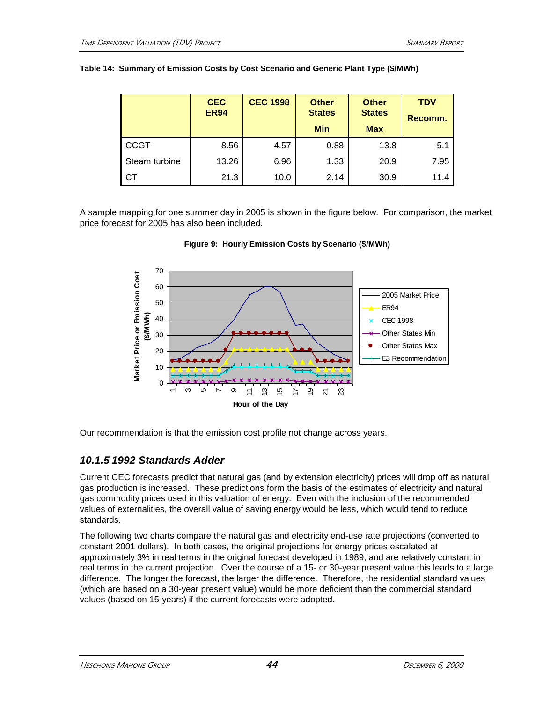|  |  |  | . |  |
|--|--|--|---|--|
|  |  |  |   |  |
|  |  |  |   |  |
|  |  |  |   |  |

|               | <b>CEC</b><br><b>ER94</b> | <b>CEC 1998</b> | <b>Other</b><br><b>States</b><br><b>Min</b> | <b>Other</b><br><b>States</b><br><b>Max</b> | <b>TDV</b><br>Recomm. |
|---------------|---------------------------|-----------------|---------------------------------------------|---------------------------------------------|-----------------------|
| <b>CCGT</b>   | 8.56                      | 4.57            | 0.88                                        | 13.8                                        | 5.1                   |
| Steam turbine | 13.26                     | 6.96            | 1.33                                        | 20.9                                        | 7.95                  |
| СT            | 21.3                      | 10.0            | 2.14                                        | 30.9                                        | 11.4                  |

|  |  |  |  | Table 14: Summary of Emission Costs by Cost Scenario and Generic Plant Type (\$/MWh) |  |  |
|--|--|--|--|--------------------------------------------------------------------------------------|--|--|
|--|--|--|--|--------------------------------------------------------------------------------------|--|--|

A sample mapping for one summer day in 2005 is shown in the figure below. For comparison, the market price forecast for 2005 has also been included.





Our recommendation is that the emission cost profile not change across years.

### *10.1.5 1992 Standards Adder*

Current CEC forecasts predict that natural gas (and by extension electricity) prices will drop off as natural gas production is increased. These predictions form the basis of the estimates of electricity and natural gas commodity prices used in this valuation of energy. Even with the inclusion of the recommended values of externalities, the overall value of saving energy would be less, which would tend to reduce standards.

The following two charts compare the natural gas and electricity end-use rate projections (converted to constant 2001 dollars). In both cases, the original projections for energy prices escalated at approximately 3% in real terms in the original forecast developed in 1989, and are relatively constant in real terms in the current projection. Over the course of a 15- or 30-year present value this leads to a large difference. The longer the forecast, the larger the difference. Therefore, the residential standard values (which are based on a 30-year present value) would be more deficient than the commercial standard values (based on 15-years) if the current forecasts were adopted.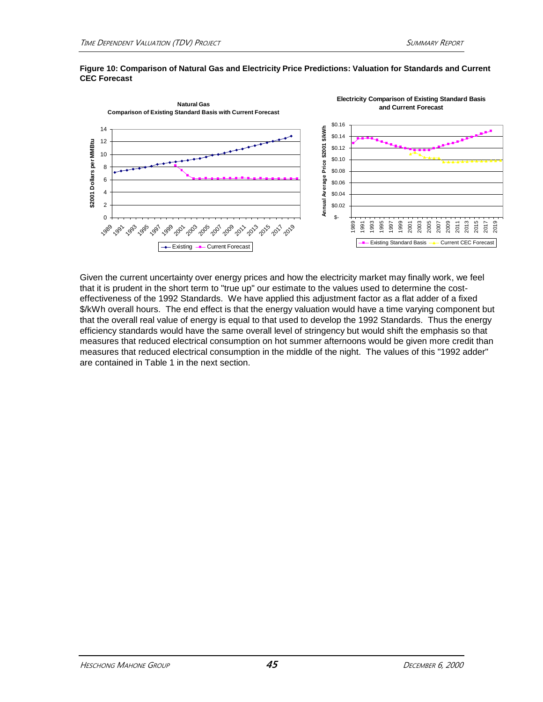

#### **Figure 10: Comparison of Natural Gas and Electricity Price Predictions: Valuation for Standards and Current CEC Forecast**

Given the current uncertainty over energy prices and how the electricity market may finally work, we feel that it is prudent in the short term to "true up" our estimate to the values used to determine the costeffectiveness of the 1992 Standards. We have applied this adjustment factor as a flat adder of a fixed \$/kWh overall hours. The end effect is that the energy valuation would have a time varying component but that the overall real value of energy is equal to that used to develop the 1992 Standards. Thus the energy efficiency standards would have the same overall level of stringency but would shift the emphasis so that measures that reduced electrical consumption on hot summer afternoons would be given more credit than measures that reduced electrical consumption in the middle of the night. The values of this "1992 adder" are contained in Table 1 in the next section.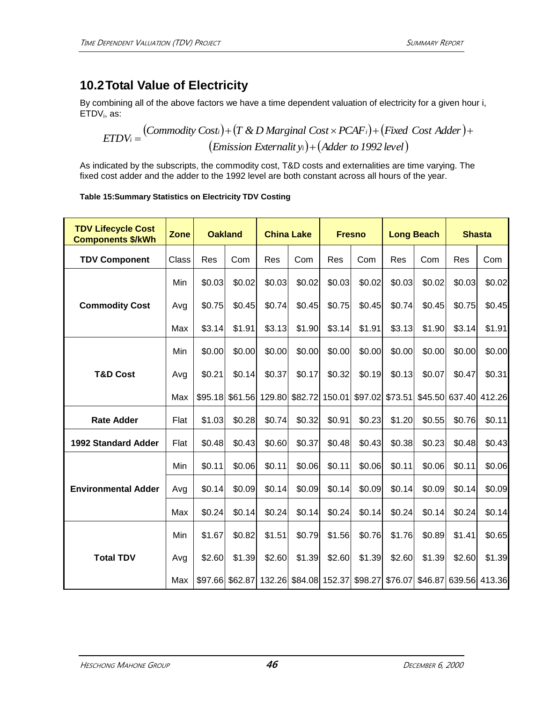# **10.2Total Value of Electricity**

By combining all of the above factors we have a time dependent valuation of electricity for a given hour i, ETDV<sub>i</sub>, as:

$$
ETDV_i = (Commodity Cost_i) + (T & D\ Marginal Cost \times PCAF_i) + (Fixed Cost Adder) + (Embi) = (Emission Externality_i) + (Adder to 1992 level)
$$

As indicated by the subscripts, the commodity cost, T&D costs and externalities are time varying. The fixed cost adder and the adder to the 1992 level are both constant across all hours of the year.

| Table 15:Summary Statistics on Electricity TDV Costing |  |  |  |
|--------------------------------------------------------|--|--|--|
|                                                        |  |  |  |

| <b>TDV Lifecycle Cost</b><br><b>Components \$/kWh</b> | Zone  |        | <b>Oakland</b>  | <b>China Lake</b> |                       |        | <b>Fresno</b> |                 | <b>Long Beach</b>       |                | <b>Shasta</b> |
|-------------------------------------------------------|-------|--------|-----------------|-------------------|-----------------------|--------|---------------|-----------------|-------------------------|----------------|---------------|
| <b>TDV Component</b>                                  | Class | Res    | Com             | Res               | Com                   | Res    | Com           | Res             | Com                     | Res            | Com           |
|                                                       | Min   | \$0.03 | \$0.02          | \$0.03            | \$0.02                | \$0.03 | \$0.02        | \$0.03          | \$0.02                  | \$0.03         | \$0.02        |
| <b>Commodity Cost</b>                                 | Avg   | \$0.75 | \$0.45          | \$0.74            | \$0.45                | \$0.75 | \$0.45        | \$0.74          | \$0.45                  | \$0.75         | \$0.45        |
|                                                       | Max   | \$3.14 | \$1.91          | \$3.13            | \$1.90                | \$3.14 | \$1.91        | \$3.13          | \$1.90                  | \$3.14         | \$1.91        |
|                                                       | Min   | \$0.00 | \$0.00          | \$0.00            | \$0.00                | \$0.00 | \$0.00        | \$0.00          | \$0.00                  | \$0.00         | \$0.00        |
| <b>T&amp;D Cost</b>                                   | Avg   | \$0.21 | \$0.14          | \$0.37            | \$0.17                | \$0.32 | \$0.19        | \$0.13          | \$0.07                  | \$0.47         | \$0.31        |
|                                                       | Max   |        | \$95.18 \$61.56 | 129.80            | \$82.72 150.01        |        |               | \$97.02 \$73.51 |                         | \$45.50 637.40 | 412.26        |
| <b>Rate Adder</b>                                     | Flat  | \$1.03 | \$0.28          | \$0.74            | \$0.32                | \$0.91 | \$0.23        | \$1.20          | \$0.55                  | \$0.76         | \$0.11        |
| <b>1992 Standard Adder</b>                            | Flat  | \$0.48 | \$0.43          | \$0.60            | \$0.37                | \$0.48 | \$0.43        | \$0.38          | \$0.23                  | \$0.48         | \$0.43        |
|                                                       | Min   | \$0.11 | \$0.06          | \$0.11            | \$0.06                | \$0.11 | \$0.06        | \$0.11          | \$0.06                  | \$0.11         | \$0.06        |
| <b>Environmental Adder</b>                            | Avg   | \$0.14 | \$0.09          | \$0.14            | \$0.09                | \$0.14 | \$0.09        | \$0.14          | \$0.09                  | \$0.14         | \$0.09        |
|                                                       | Max   | \$0.24 | \$0.14          | \$0.24            | \$0.14                | \$0.24 | \$0.14        | \$0.24          | \$0.14                  | \$0.24         | \$0.14        |
|                                                       | Min   | \$1.67 | \$0.82          | \$1.51            | \$0.79                | \$1.56 | \$0.76        | \$1.76          | \$0.89                  | \$1.41         | \$0.65        |
| <b>Total TDV</b>                                      | Avg   | \$2.60 | \$1.39          | \$2.60            | \$1.39                | \$2.60 | \$1.39        | \$2.60          | \$1.39                  | \$2.60         | \$1.39        |
|                                                       | Max   |        | \$97.66 \$62.87 |                   | 132.26 \$84.08 152.37 |        |               |                 | \$98.27 \$76.07 \$46.87 |                | 639.56 413.36 |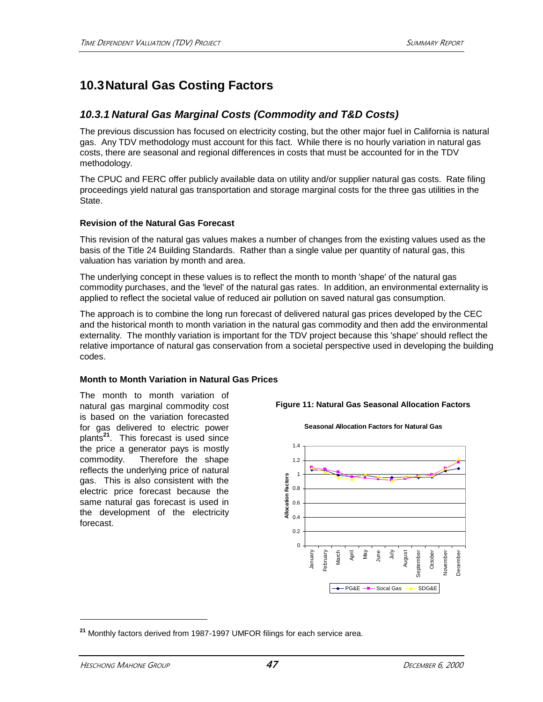# **10.3Natural Gas Costing Factors**

### *10.3.1 Natural Gas Marginal Costs (Commodity and T&D Costs)*

The previous discussion has focused on electricity costing, but the other major fuel in California is natural gas. Any TDV methodology must account for this fact. While there is no hourly variation in natural gas costs, there are seasonal and regional differences in costs that must be accounted for in the TDV methodology.

The CPUC and FERC offer publicly available data on utility and/or supplier natural gas costs. Rate filing proceedings yield natural gas transportation and storage marginal costs for the three gas utilities in the State.

### **Revision of the Natural Gas Forecast**

This revision of the natural gas values makes a number of changes from the existing values used as the basis of the Title 24 Building Standards. Rather than a single value per quantity of natural gas, this valuation has variation by month and area.

The underlying concept in these values is to reflect the month to month 'shape' of the natural gas commodity purchases, and the 'level' of the natural gas rates. In addition, an environmental externality is applied to reflect the societal value of reduced air pollution on saved natural gas consumption.

The approach is to combine the long run forecast of delivered natural gas prices developed by the CEC and the historical month to month variation in the natural gas commodity and then add the environmental externality. The monthly variation is important for the TDV project because this 'shape' should reflect the relative importance of natural gas conservation from a societal perspective used in developing the building codes.

### **Month to Month Variation in Natural Gas Prices**

The month to month variation of natural gas marginal commodity cost is based on the variation forecasted for gas delivered to electric power plants**<sup>21</sup>**. This forecast is used since the price a generator pays is mostly commodity. Therefore the shape reflects the underlying price of natural gas. This is also consistent with the electric price forecast because the same natural gas forecast is used in the development of the electricity forecast.

### **Figure 11: Natural Gas Seasonal Allocation Factors**

**Seasonal Allocation Factors for Natural Gas**



**<sup>21</sup>** Monthly factors derived from 1987-1997 UMFOR filings for each service area.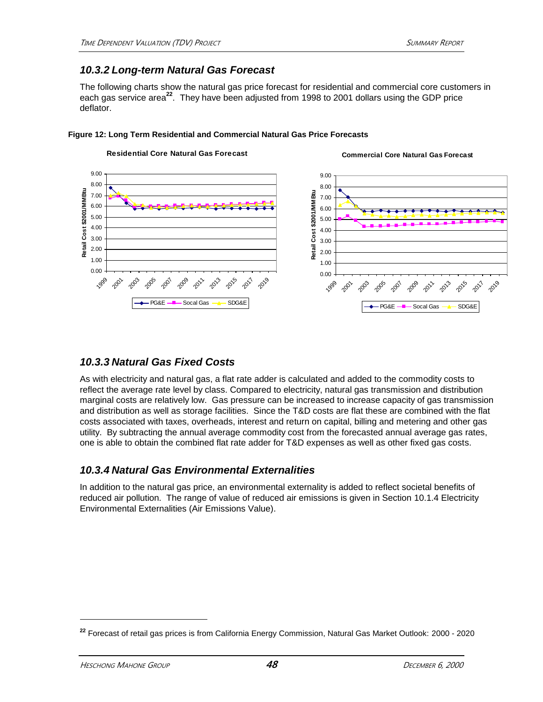### *10.3.2 Long-term Natural Gas Forecast*

The following charts show the natural gas price forecast for residential and commercial core customers in each gas service area**<sup>22</sup>**. They have been adjusted from 1998 to 2001 dollars using the GDP price deflator.



#### **Figure 12: Long Term Residential and Commercial Natural Gas Price Forecasts**

### *10.3.3 Natural Gas Fixed Costs*

As with electricity and natural gas, a flat rate adder is calculated and added to the commodity costs to reflect the average rate level by class. Compared to electricity, natural gas transmission and distribution marginal costs are relatively low. Gas pressure can be increased to increase capacity of gas transmission and distribution as well as storage facilities. Since the T&D costs are flat these are combined with the flat costs associated with taxes, overheads, interest and return on capital, billing and metering and other gas utility. By subtracting the annual average commodity cost from the forecasted annual average gas rates, one is able to obtain the combined flat rate adder for T&D expenses as well as other fixed gas costs.

### *10.3.4 Natural Gas Environmental Externalities*

In addition to the natural gas price, an environmental externality is added to reflect societal benefits of reduced air pollution. The range of value of reduced air emissions is given in Section 10.1.4 Electricity Environmental Externalities (Air Emissions Value).

**<sup>22</sup>** Forecast of retail gas prices is from California Energy Commission, Natural Gas Market Outlook: 2000 - 2020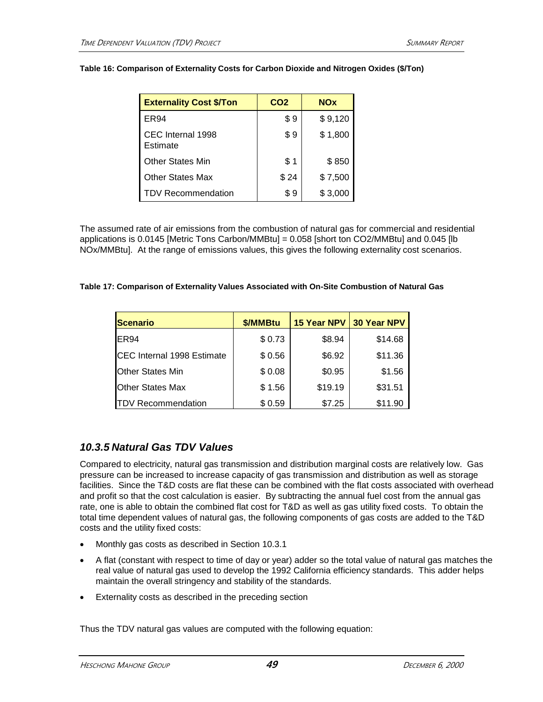| <b>Externality Cost \$/Ton</b> | CO <sub>2</sub> | <b>NOx</b> |
|--------------------------------|-----------------|------------|
| ER94                           | \$9             | \$9,120    |
| CEC Internal 1998<br>Estimate  | \$9             | \$1,800    |
| <b>Other States Min</b>        | \$1             | \$850      |
| <b>Other States Max</b>        | \$24            | \$7,500    |
| <b>TDV Recommendation</b>      | \$9             | \$3,000    |

#### **Table 16: Comparison of Externality Costs for Carbon Dioxide and Nitrogen Oxides (\$/Ton)**

The assumed rate of air emissions from the combustion of natural gas for commercial and residential applications is 0.0145 [Metric Tons Carbon/MMBtu] = 0.058 [short ton CO2/MMBtu] and 0.045 [lb NOx/MMBtu]. At the range of emissions values, this gives the following externality cost scenarios.

#### **Table 17: Comparison of Externality Values Associated with On-Site Combustion of Natural Gas**

| Scenario                   | \$/MMBtu | <b>15 Year NPV</b> | <b>30 Year NPV</b> |
|----------------------------|----------|--------------------|--------------------|
| IER94                      | \$0.73   | \$8.94             | \$14.68            |
| CEC Internal 1998 Estimate | \$0.56   | \$6.92             | \$11.36            |
| Other States Min           | \$0.08   | \$0.95             | \$1.56             |
| <b>Other States Max</b>    | \$1.56   | \$19.19            | \$31.51            |
| <b>TDV Recommendation</b>  | \$0.59   | \$7.25             | \$11.90            |

### *10.3.5 Natural Gas TDV Values*

Compared to electricity, natural gas transmission and distribution marginal costs are relatively low. Gas pressure can be increased to increase capacity of gas transmission and distribution as well as storage facilities. Since the T&D costs are flat these can be combined with the flat costs associated with overhead and profit so that the cost calculation is easier. By subtracting the annual fuel cost from the annual gas rate, one is able to obtain the combined flat cost for T&D as well as gas utility fixed costs. To obtain the total time dependent values of natural gas, the following components of gas costs are added to the T&D costs and the utility fixed costs:

- Monthly gas costs as described in Section 10.3.1
- A flat (constant with respect to time of day or year) adder so the total value of natural gas matches the real value of natural gas used to develop the 1992 California efficiency standards. This adder helps maintain the overall stringency and stability of the standards.
- Externality costs as described in the preceding section

Thus the TDV natural gas values are computed with the following equation: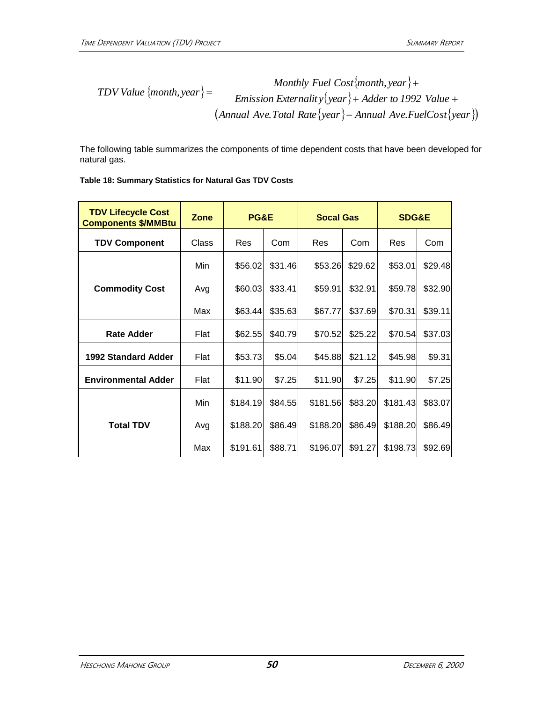*TDV Value {month, year}* = 
$$
Monthly \text{ Fuel Cost {month, year}}
$$
+  
 
$$
Emission \text{ Externality}{year} + Adder \text{ to } 1992 \text{ Value } +
$$
  
 
$$
(Annual \text{ Ave. Total Rate}{year} - Annual \text{ Ave. FuelCost}{year})
$$

The following table summarizes the components of time dependent costs that have been developed for natural gas.

| <b>TDV Lifecycle Cost</b><br><b>Components \$/MMBtu</b> | Zone  | PG&E     |         | <b>Socal Gas</b> |         | <b>SDG&amp;E</b> |         |
|---------------------------------------------------------|-------|----------|---------|------------------|---------|------------------|---------|
| <b>TDV Component</b>                                    | Class | Res      | Com     | Res              | Com     | Res              | Com     |
|                                                         | Min   | \$56.02  | \$31.46 | \$53.26          | \$29.62 | \$53.01          | \$29.48 |
| <b>Commodity Cost</b>                                   | Avg   | \$60.03  | \$33.41 | \$59.91          | \$32.91 | \$59.78          | \$32.90 |
|                                                         | Max   | \$63.44  | \$35.63 | \$67.77          | \$37.69 | \$70.31          | \$39.11 |
| <b>Rate Adder</b>                                       | Flat  | \$62.55  | \$40.79 | \$70.52          | \$25.22 | \$70.54          | \$37.03 |
| <b>1992 Standard Adder</b>                              | Flat  | \$53.73  | \$5.04  | \$45.88          | \$21.12 | \$45.98          | \$9.31  |
| <b>Environmental Adder</b>                              | Flat  | \$11.90  | \$7.25  | \$11.90          | \$7.25  | \$11.90          | \$7.25  |
|                                                         | Min   | \$184.19 | \$84.55 | \$181.56         | \$83.20 | \$181.43         | \$83.07 |
| <b>Total TDV</b>                                        | Avg   | \$188.20 | \$86.49 | \$188.20         | \$86.49 | \$188.20         | \$86.49 |
|                                                         | Max   | \$191.61 | \$88.71 | \$196.07         | \$91.27 | \$198.73         | \$92.69 |

### **Table 18: Summary Statistics for Natural Gas TDV Costs**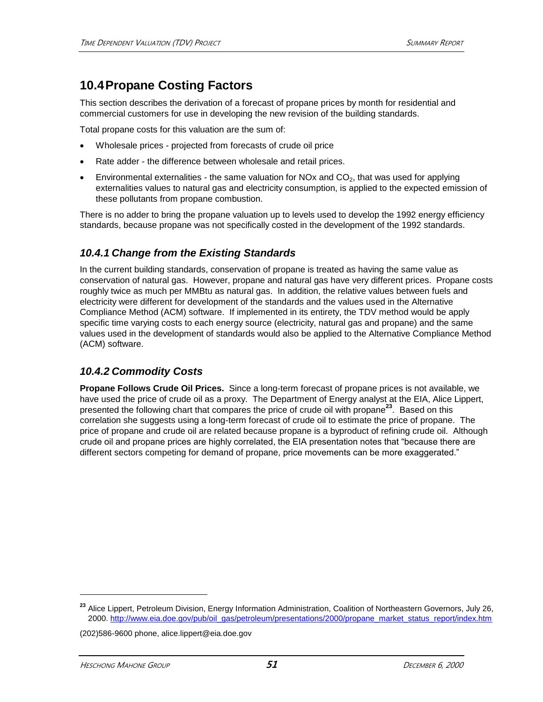## **10.4Propane Costing Factors**

This section describes the derivation of a forecast of propane prices by month for residential and commercial customers for use in developing the new revision of the building standards.

Total propane costs for this valuation are the sum of:

- Wholesale prices projected from forecasts of crude oil price
- Rate adder the difference between wholesale and retail prices.
- Environmental externalities the same valuation for NOx and  $CO<sub>2</sub>$ , that was used for applying externalities values to natural gas and electricity consumption, is applied to the expected emission of these pollutants from propane combustion.

There is no adder to bring the propane valuation up to levels used to develop the 1992 energy efficiency standards, because propane was not specifically costed in the development of the 1992 standards.

### *10.4.1 Change from the Existing Standards*

In the current building standards, conservation of propane is treated as having the same value as conservation of natural gas. However, propane and natural gas have very different prices. Propane costs roughly twice as much per MMBtu as natural gas. In addition, the relative values between fuels and electricity were different for development of the standards and the values used in the Alternative Compliance Method (ACM) software. If implemented in its entirety, the TDV method would be apply specific time varying costs to each energy source (electricity, natural gas and propane) and the same values used in the development of standards would also be applied to the Alternative Compliance Method (ACM) software.

### *10.4.2 Commodity Costs*

**Propane Follows Crude Oil Prices.** Since a long-term forecast of propane prices is not available, we have used the price of crude oil as a proxy. The Department of Energy analyst at the EIA, Alice Lippert, presented the following chart that compares the price of crude oil with propane**<sup>23</sup>**. Based on this correlation she suggests using a long-term forecast of crude oil to estimate the price of propane. The price of propane and crude oil are related because propane is a byproduct of refining crude oil. Although crude oil and propane prices are highly correlated, the EIA presentation notes that "because there are different sectors competing for demand of propane, price movements can be more exaggerated."

**<sup>23</sup>** Alice Lippert, Petroleum Division, Energy Information Administration, Coalition of Northeastern Governors, July 26, 2000[. http://www.eia.doe.gov/pub/oil\\_gas/petroleum/presentations/2000/propane\\_market\\_status\\_report/index.htm](http://www.eia.doe.gov/pub/oil_gas/petroleum/presentations/2000/crude_oil_market_outlook/index.htm)

<sup>(202)586-9600</sup> phone, alice.lippert@eia.doe.gov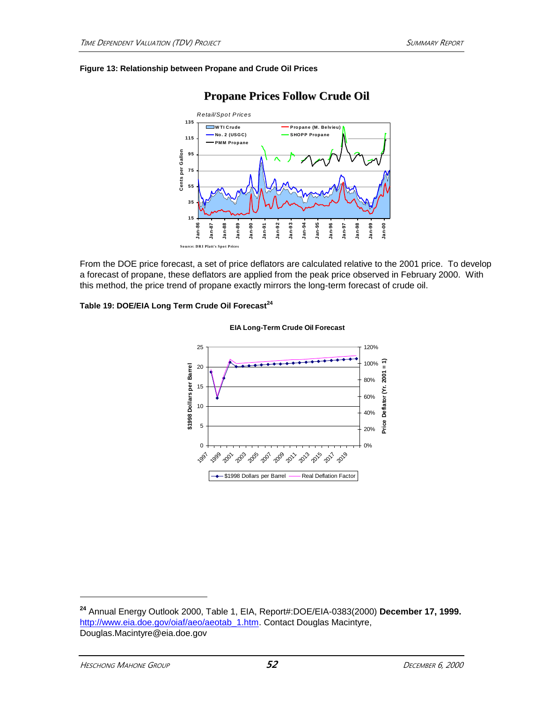#### **Figure 13: Relationship between Propane and Crude Oil Prices**



### **Propane Prices Follow Crude Oil**

From the DOE price forecast, a set of price deflators are calculated relative to the 2001 price. To develop a forecast of propane, these deflators are applied from the peak price observed in February 2000. With this method, the price trend of propane exactly mirrors the long-term forecast of crude oil.

### **Table 19: DOE/EIA Long Term Crude Oil Forecast<sup>24</sup>**



### **EIA Long-Term Crude Oil Forecast**

**<sup>24</sup>** Annual Energy Outlook 2000, Table 1, EIA, Report#:DOE/EIA-0383(2000) **December 17, 1999.** [http://www.eia.doe.gov/oiaf/aeo/aeotab\\_1.htm.](http://www.eia.doe.gov/oiaf/aeo/aeotab_1.htm) Contact Douglas Macintyre, Douglas.Macintyre@eia.doe.gov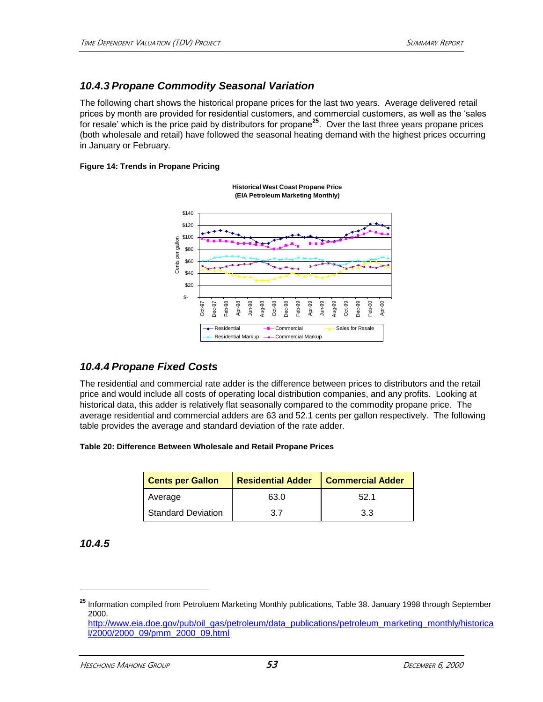### *10.4.3 Propane Commodity Seasonal Variation*

The following chart shows the historical propane prices for the last two years. Average delivered retail prices by month are provided for residential customers, and commercial customers, as well as the 'sales for resale' which is the price paid by distributors for propane**<sup>25</sup>**. Over the last three years propane prices (both wholesale and retail) have followed the seasonal heating demand with the highest prices occurring in January or February.

#### **Figure 14: Trends in Propane Pricing**

**Historical West Coast Propane Price (EIA Petroleum Marketing Monthly)**



### *10.4.4 Propane Fixed Costs*

The residential and commercial rate adder is the difference between prices to distributors and the retail price and would include all costs of operating local distribution companies, and any profits. Looking at historical data, this adder is relatively flat seasonally compared to the commodity propane price. The average residential and commercial adders are 63 and 52.1 cents per gallon respectively. The following table provides the average and standard deviation of the rate adder.

#### **Table 20: Difference Between Wholesale and Retail Propane Prices**

| <b>Cents per Gallon</b> | <b>Residential Adder</b> | <b>Commercial Adder</b> |  |
|-------------------------|--------------------------|-------------------------|--|
| Average                 | 63.0                     | 52.1                    |  |
| Standard Deviation      | 37                       | 3.3                     |  |

*10.4.5*

**<sup>25</sup>** Information compiled from Petroluem Marketing Monthly publications, Table 38. January 1998 through September 2000.

[http://www.eia.doe.gov/pub/oil\\_gas/petroleum/data\\_publications/petroleum\\_marketing\\_monthly/historica](http://www.eia.doe.gov/pub/oil_gas/petroleum/data_publications/petroleum_marketing_monthly/historical/2000/2000_09/pmm_2000_09.html) [l/2000/2000\\_09/pmm\\_2000\\_09.html](http://www.eia.doe.gov/pub/oil_gas/petroleum/data_publications/petroleum_marketing_monthly/historical/2000/2000_09/pmm_2000_09.html)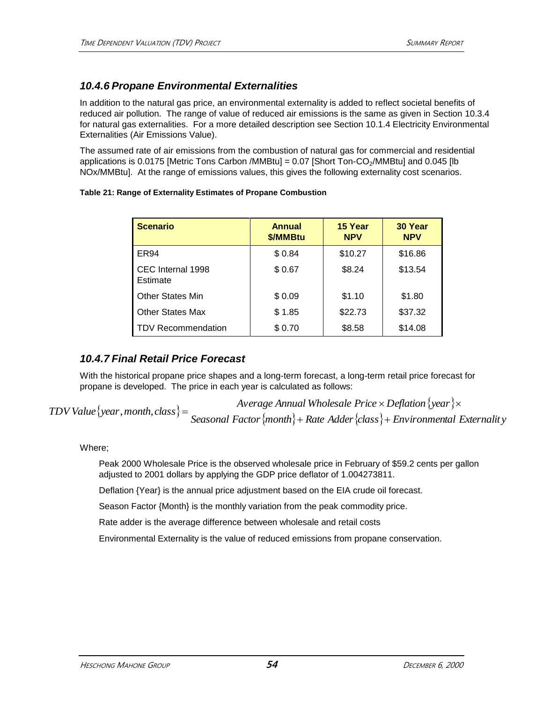### *10.4.6 Propane Environmental Externalities*

In addition to the natural gas price, an environmental externality is added to reflect societal benefits of reduced air pollution. The range of value of reduced air emissions is the same as given in Section 10.3.4 for natural gas externalities. For a more detailed description see Section [10.1.4](#page-43-0) [Electricity Environmental](#page-43-0)  [Externalities \(Air Emissions Value\).](#page-43-0)

The assumed rate of air emissions from the combustion of natural gas for commercial and residential applications is 0.0175 [Metric Tons Carbon /MMBtu] = 0.07 [Short Ton-CO<sub>2</sub>/MMBtu] and 0.045 [lb NOx/MMBtu]. At the range of emissions values, this gives the following externality cost scenarios.

### **Table 21: Range of Externality Estimates of Propane Combustion**

| <b>Scenario</b>               | <b>Annual</b><br>\$/MMBtu | 15 Year<br><b>NPV</b> | 30 Year<br><b>NPV</b> |
|-------------------------------|---------------------------|-----------------------|-----------------------|
| ER <sub>94</sub>              | \$0.84                    | \$10.27               | \$16.86               |
| CEC Internal 1998<br>Estimate | \$0.67                    | \$8.24                | \$13.54               |
| <b>Other States Min</b>       | \$0.09                    | \$1.10                | \$1.80                |
| <b>Other States Max</b>       | \$1.85                    | \$22.73               | \$37.32               |
| TDV Recommendation            | \$0.70                    | \$8.58                | \$14.08               |

### *10.4.7 Final Retail Price Forecast*

With the historical propane price shapes and a long-term forecast, a long-term retail price forecast for propane is developed. The price in each year is calculated as follows:

 $TDV$  *Value*  $\{year, month, class\} =$  *Average Annual Wholesale Price Deflation year Seasonal Factormonth Rate Adderclass Environmental Externalit y*

### Where;

Peak 2000 Wholesale Price is the observed wholesale price in February of \$59.2 cents per gallon adjusted to 2001 dollars by applying the GDP price deflator of 1.004273811.

Deflation {Year} is the annual price adjustment based on the EIA crude oil forecast.

Season Factor {Month} is the monthly variation from the peak commodity price.

Rate adder is the average difference between wholesale and retail costs

Environmental Externality is the value of reduced emissions from propane conservation.